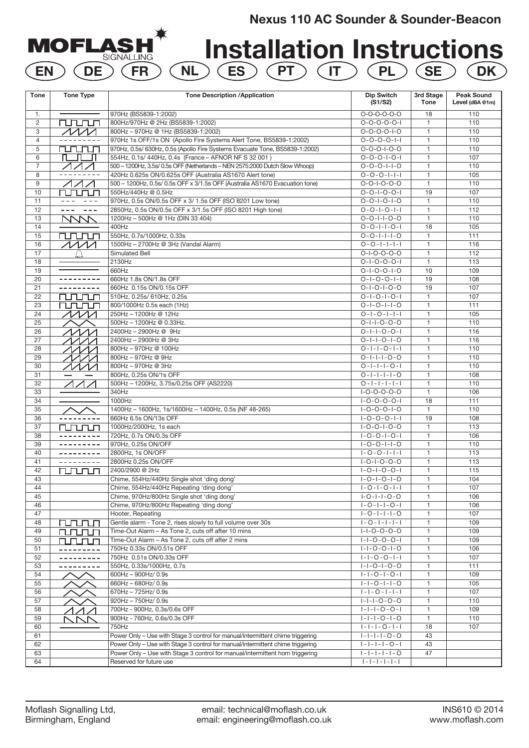# **Nexus 110 AC Sounder & Sounder-Beacon**

**Installation Instructions EN DE FR NL ES PT IT PL SE DK**

| $O-O-O-O-O-O$<br>970Hz (BS5839-1:2002)<br>18<br>110<br>1.<br>2<br>rurun<br>800Hz/970Hz @ 2Hz (BS5839-1:2002)<br>$0 - 0 - 0 - 0 - 1$<br>$\mathbf{1}$<br>110<br>3<br>$\sqrt{M}$<br>800Hz - 970Hz @ 1Hz (BS5839-1:2002)<br>$0 - 0 - 0 - 0 - 1 - 0$<br>$\mathbf{1}$<br>110<br>$\overline{4}$<br>970Hz 1s OFF/1s ON (Apollo Fire Systems Alert Tone, BS5839-1:2002)<br>$0 - 0 - 0 - 0 - 1 - 1$<br>$\mathbf{1}$<br>110<br>5<br>rurunun<br>970Hz, 0.5s/ 630Hz, 0.5s (Apollo Fire Systems Evacuate Tone, BS5839-1:2002)<br>$0 - 0 - 0 - 1 - 0 - 0$<br>$\mathbf{1}$<br>110<br>6<br>$\Pi$ . $\Pi$ . $\Pi$<br>554Hz, 0.1s/ 440Hz, 0.4s (France - AFNOR NF S 32 001)<br>107<br>$0 - 0 - 0 - 1 - 0 - 1$<br>$\mathbf{1}$<br>$\overline{7}$<br>ノノノ<br>500 - 1200Hz, 3.5s/ 0.5s OFF (Netherlands - NEN 2575:2000 Dutch Slow Whoop)<br>$0 - 0 - 0 - 1 - 1 - 0$<br>$\mathbf{1}$<br>110<br>8<br>---------<br>420Hz 0.625s ON/0.625s OFF (Australia AS1670 Alert tone)<br>$0 - 0 - 0 - 1 - 1 - 1$<br>105<br>$\mathbf{1}$<br>$\sqrt{111}$<br>$\mathbf{1}$<br>9<br>500 - 1200Hz, 0.5s/ 0.5s OFF x 3/1.5s OFF (Australia AS1670 Evacuation tone)<br>$0 - 0 - 1 - 0 - 0 - 0$<br>110<br>10<br>550Hz/440Hz @ 0.5Hz<br>$0 - 0 - 1 - 0 - 0 - 1$<br>19<br>107<br>rurun<br>11<br>970Hz, 0.5s ON/0.5s OFF x 3/ 1.5s OFF (ISO 8201 Low tone)<br>$0 - 0 - 1 - 0 - 1 - 0$<br>$\mathbf{1}$<br>110<br>2850Hz, 0.5s ON/0.5s OFF x 3/1.5s OFF (ISO 8201 High tone)<br>$0 - 0 - 1 - 0 - 1 - 1$<br>12<br>$\mathbf{1}$<br>112<br>$\frac{1}{2} \frac{1}{2} \frac{1}{2} \frac{1}{2} \frac{1}{2} \frac{1}{2} \frac{1}{2} \frac{1}{2} \frac{1}{2} \frac{1}{2} \frac{1}{2} \frac{1}{2} \frac{1}{2} \frac{1}{2} \frac{1}{2} \frac{1}{2} \frac{1}{2} \frac{1}{2} \frac{1}{2} \frac{1}{2} \frac{1}{2} \frac{1}{2} \frac{1}{2} \frac{1}{2} \frac{1}{2} \frac{1}{2} \frac{1}{2} \frac{1}{2} \frac{1}{2} \frac{1}{2} \frac{1}{2} \frac{$<br>---<br>13<br><b>NVV</b><br>1200Hz - 500Hz @ 1Hz (DIN 33 404)<br>$0 - 0 - 1 - 1 - 0 - 0$<br>$\mathbf{1}$<br>110<br>14<br>400Hz<br>$0 - 0 - 1 - 1 - 0 - 1$<br>18<br>105<br>15<br><b>runun</b><br>550Hz, 0.7s/1000Hz, 0.33s<br>$0 - 0 - 1 - 1 - 1 - 0$<br>$\mathbf{1}$<br>111<br>$\sqrt{M}$<br>16<br>1500Hz - 2700Hz @ 3Hz (Vandal Alarm)<br>$0 - 0 - 1 - 1 - 1 - 1$<br>$\mathbf{1}$<br>116<br>17<br>$\mathbf{1}$<br>Simulated Bell<br>$O-I-O-O-O-O$<br>112<br>18<br>2130Hz<br>$0 - 1 - 0 - 0 - 0 - 1$<br>$\mathbf{1}$<br>113<br>109<br>19<br>660Hz<br>$0 - 1 - 0 - 0 - 1 - 0$<br>10<br>660Hz 1.8s ON/1.8s OFF<br>$0 - 1 - 0 - 0 - 1 - 1$<br>20<br>---------<br>19<br>108<br>660Hz 0.15s ON/0.15s OFF<br>21<br>$0 - 1 - 0 - 1 - 0 - 0$<br>19<br>107<br>107<br>22<br>rurun<br>510Hz, 0.25s/ 610Hz, 0.25s<br>$0 - 1 - 0 - 1 - 0 - 1$<br>$\mathbf{1}$<br>23<br>800/1000Hz 0.5s each (1Hz)<br>$0 - 1 - 0 - 1 - 1 - 0$<br>$\mathbf{1}$<br>111<br>rurun<br>$\cal{M}$<br>250Hz - 1200Hz @ 12Hz<br>24<br>$0 - 1 - 0 - 1 - 1 - 1$<br>105<br>$\mathbf{1}$<br>25<br>500Hz - 1200Hz @ 0.33Hz.<br>$0 - 1 - 1 - 0 - 0 - 0$<br>$\mathbf{1}$<br>110<br>2400Hz - 2900Hz @ 9Hz<br>$0 - 1 - 1 - 0 - 0 - 1$<br>26<br>$\mathbf{1}$<br>116<br>$\Lambda\Lambda\Lambda\Lambda$<br>2400Hz - 2900Hz @ 3Hz<br>$0 - 1 - 1 - 0 - 1 - 0$<br>27<br>116<br>$\mathbf{1}$<br>ヘヘヘヘ<br>$0 - 1 - 1 - 0 - 1 - 1$<br>800Hz - 970Hz @ 100Hz<br>$\mathbf{1}$<br>110<br>28<br>$\Lambda\Lambda\Lambda\Lambda$<br>29<br>800Hz - 970Hz @ 9Hz<br>$0 - 1 - 1 - 1 - 0 - 0$<br>$\mathbf{1}$<br>110<br>ヘヘヘ<br>800Hz - 970Hz @ 3Hz<br>30<br>$0 - 1 - 1 - 1 - 0 - 1$<br>1<br>110<br>ヘノノレ<br>800Hz, 0.25s ON/1s OFF<br>31<br>$0 - 1 - 1 - 1 - 0$<br>$\mathbf{1}$<br>108<br>32<br>$\sqrt{11}$<br>500Hz - 1200Hz, 3.75s/0.25s OFF (AS2220)<br>$0 - 1 - 1 - 1 - 1 - 1$<br>110<br>$\mathbf{1}$<br>33<br>340Hz<br>$I-O-O-O-O-O$<br>$\mathbf{1}$<br>106<br>34<br>1000Hz<br>$1 - 0 - 0 - 0 - 1$<br>18<br>111<br>35<br>1400Hz - 1600Hz, 1s/1600Hz - 1400Hz, 0.5s (NF 48-265)<br>$1 - 0 - 0 - 0 - 1 - 0$<br>$\mathbf{1}$<br>110<br>19<br>36<br>660Hz 6.5s ON/13s OFF<br>$1 - 0 - 0 - 0 - 1 - 1$<br>108<br>---------<br>37<br>1000Hz/2000Hz, 1s each<br>$I - O - O - I - O - O$<br>$\mathbf{1}$<br>113<br>runun<br>106<br>38<br>720Hz, 0.7s ON/0.3s OFF<br>$1 - 0 - 0 - 1 - 0 - 1$<br>$\mathbf{1}$<br>970Hz. 0.25s ON/OFF<br>$1 - 0 - 0 - 1 - 1 - 0$<br>39<br>$\mathbf{1}$<br>110<br>2800Hz, 1s ON/OFF<br>$1 - 0 - 0 - 1 - 1 - 1$<br>113<br>40<br>$\mathbf{1}$<br>---------<br>2800Hz 0.25s ON/OFF<br>41<br>---------<br>$I-O-I-O-O-O$<br>$\mathbf{1}$<br>113<br>42<br>$\mathbf{1}$<br>2400/2900 @ 2Hz<br>$1 - 0 - 1 - 0 - 0 - 1$<br>115<br>runun<br>43<br>Chime, 554Hz/440Hz Single shot 'ding dong'<br>$1 - 0 - 1 - 0 - 1 - 0$<br>104<br>$\mathbf{1}$<br>44<br>$\mathbf{1}$<br>107<br>Chime, 554Hz/440Hz Repeating 'ding dong'<br>$1 - 0 - 1 - 0 - 1 - 1$<br>Chime, 970Hz/800Hz Single shot 'ding dong'<br>$I - O - I - I - O - O$<br>106<br>45<br>$\mathbf{1}$<br>Chime, 970Hz/800Hz Repeating 'ding dong'<br>$1 - 0 - 1 - 1 - 0 - 1$<br>46<br>106<br>1<br>$1 - 0 - 1 - 1 - 1 - 0$<br>47<br>$\mathbf{1}$<br>107<br>Hooter, Repeating<br>Gentle alarm - Tone 2, rises slowly to full volume over 30s<br>$1 - 0 - 1 - 1 - 1 - 1$<br>48<br>$\mathbf{1}$<br>109<br>rurunun<br>Time-Out Alarm - As Tone 2, cuts off after 10 mins<br>$1 - 1 - 0 - 0 - 0 - 0$<br>109<br>49<br>$\mathbf{1}$<br>rurun<br>$1 - 1 - 0 - 0 - 0 - 1$<br>50<br>Time-Out Alarm - As Tone 2, cuts off after 2 mins<br>$\mathbf{1}$<br>109<br>000<br>51<br>750Hz 0.33s ON/0.51s OFF<br>$1 - 1 - 0 - 0 - 1 - 0$<br>$\mathbf{1}$<br>106<br>52<br>750Hz 0.51s ON/0.33s OFF<br>$1 - 1 - 0 - 0 - 1 - 1$<br>$\mathbf{1}$<br>107<br>$1 - 1 - 0 - 1 - 0 - 0$<br>$\mathbf{1}$<br>53<br>550Hz, 0.33s/1000Hz, 0.7s<br>111<br>54<br>600Hz - 900Hz/ 0.9s<br>$1 - 1 - 0 - 1 - 0 - 1$<br>109<br>$\mathbf{1}$<br>$ - -0- - -0$<br>55<br>660Hz - 680Hz/ 0.9s<br>$\mathbf{1}$<br>105<br>670Hz - 725Hz/ 0.9s<br>$ - -0- - - $<br>107<br>56<br>$\mathbf{1}$<br>920Hz - 750Hz/ 0.9s<br>$1 - 1 - 1 - 0 - 0 - 0$<br>$\mathbf{1}$<br>110<br>57<br>$ - - -0-0- $<br>58<br>700Hz - 900Hz, 0.3s/0.6s OFF<br>$\mathbf{1}$<br>109<br>59<br>900Hz - 760Hz, 0.6s/0.3s OFF<br>$ - - -0- -0$<br>$\mathbf{1}$<br>110<br>750Hz<br>$ - - -0- - $<br>60<br>18<br>107<br>Power Only - Use with Stage 3 control for manual/intermittent chime triggering<br>$1 - 1 - 1 - 1 - 0 - 0$<br>43<br>61<br>Power Only - Use with Stage 3 control for manual/intermittent chime triggering<br>$ - - - -0- $<br>43<br>62<br>63<br>Power Only - Use with Stage 3 control for manual/intermittent horn triggering<br>$1 - 1 - 1 - 1 - 1 - 0$<br>47<br>$\ \cdot\  \cdot \ \cdot\  \cdot \ \cdot\  \cdot \ $<br>Reserved for future use<br>64 | <b>Tone</b> | <b>Tone Type</b> | <b>Tone Description /Application</b> | <b>Dip Switch</b><br>(S1/S2) | 3rd Stage<br><b>Tone</b> | <b>Peak Sound</b><br>Level (dBA @1m) |
|-----------------------------------------------------------------------------------------------------------------------------------------------------------------------------------------------------------------------------------------------------------------------------------------------------------------------------------------------------------------------------------------------------------------------------------------------------------------------------------------------------------------------------------------------------------------------------------------------------------------------------------------------------------------------------------------------------------------------------------------------------------------------------------------------------------------------------------------------------------------------------------------------------------------------------------------------------------------------------------------------------------------------------------------------------------------------------------------------------------------------------------------------------------------------------------------------------------------------------------------------------------------------------------------------------------------------------------------------------------------------------------------------------------------------------------------------------------------------------------------------------------------------------------------------------------------------------------------------------------------------------------------------------------------------------------------------------------------------------------------------------------------------------------------------------------------------------------------------------------------------------------------------------------------------------------------------------------------------------------------------------------------------------------------------------------------------------------------------------------------------------------------------------------------------------------------------------------------------------------------------------------------------------------------------------------------------------------------------------------------------------------------------------------------------------------------------------------------------------------------------------------------------------------------------------------------------------------------------------------------------------------------------------------------------------------------------------------------------------------------------------------------------------------------------------------------------------------------------------------------------------------------------------------------------------------------------------------------------------------------------------------------------------------------------------------------------------------------------------------------------------------------------------------------------------------------------------------------------------------------------------------------------------------------------------------------------------------------------------------------------------------------------------------------------------------------------------------------------------------------------------------------------------------------------------------------------------------------------------------------------------------------------------------------------------------------------------------------------------------------------------------------------------------------------------------------------------------------------------------------------------------------------------------------------------------------------------------------------------------------------------------------------------------------------------------------------------------------------------------------------------------------------------------------------------------------------------------------------------------------------------------------------------------------------------------------------------------------------------------------------------------------------------------------------------------------------------------------------------------------------------------------------------------------------------------------------------------------------------------------------------------------------------------------------------------------------------------------------------------------------------------------------------------------------------------------------------------------------------------------------------------------------------------------------------------------------------------------------------------------------------------------------------------------------------------------------------------------------------------------------------------------------------------------------------------------------------------------------------------------------------------------------------------------------------------------------------------------------------------------------------------------------------------------------------------------------------------------------------------------------------------------------------------------------------------------------------------------------------------------------------------------------------------------------------------------------------------------------------------------------------------------------------------------------------------------------------------------------------------------------------------------------------------------------------------------------------------------------------------------------------------------------------------------------------------------------------------------------------------------------------------------------------------------------------------------------------------------------------------------------------------------------------------------------------------------------------------------------------------------------------------------------------------------------------------------------------------------------------------------------------------------------------------------------------------------------------------------------------------------------------------------------------------------------------------|-------------|------------------|--------------------------------------|------------------------------|--------------------------|--------------------------------------|
|                                                                                                                                                                                                                                                                                                                                                                                                                                                                                                                                                                                                                                                                                                                                                                                                                                                                                                                                                                                                                                                                                                                                                                                                                                                                                                                                                                                                                                                                                                                                                                                                                                                                                                                                                                                                                                                                                                                                                                                                                                                                                                                                                                                                                                                                                                                                                                                                                                                                                                                                                                                                                                                                                                                                                                                                                                                                                                                                                                                                                                                                                                                                                                                                                                                                                                                                                                                                                                                                                                                                                                                                                                                                                                                                                                                                                                                                                                                                                                                                                                                                                                                                                                                                                                                                                                                                                                                                                                                                                                                                                                                                                                                                                                                                                                                                                                                                                                                                                                                                                                                                                                                                                                                                                                                                                                                                                                                                                                                                                                                                                                                                                                                                                                                                                                                                                                                                                                                                                                                                                                                                                                                                                                                                                                                                                                                                                                                                                                                                                                                                                                                                                                                                                   |             |                  |                                      |                              |                          |                                      |
|                                                                                                                                                                                                                                                                                                                                                                                                                                                                                                                                                                                                                                                                                                                                                                                                                                                                                                                                                                                                                                                                                                                                                                                                                                                                                                                                                                                                                                                                                                                                                                                                                                                                                                                                                                                                                                                                                                                                                                                                                                                                                                                                                                                                                                                                                                                                                                                                                                                                                                                                                                                                                                                                                                                                                                                                                                                                                                                                                                                                                                                                                                                                                                                                                                                                                                                                                                                                                                                                                                                                                                                                                                                                                                                                                                                                                                                                                                                                                                                                                                                                                                                                                                                                                                                                                                                                                                                                                                                                                                                                                                                                                                                                                                                                                                                                                                                                                                                                                                                                                                                                                                                                                                                                                                                                                                                                                                                                                                                                                                                                                                                                                                                                                                                                                                                                                                                                                                                                                                                                                                                                                                                                                                                                                                                                                                                                                                                                                                                                                                                                                                                                                                                                                   |             |                  |                                      |                              |                          |                                      |
|                                                                                                                                                                                                                                                                                                                                                                                                                                                                                                                                                                                                                                                                                                                                                                                                                                                                                                                                                                                                                                                                                                                                                                                                                                                                                                                                                                                                                                                                                                                                                                                                                                                                                                                                                                                                                                                                                                                                                                                                                                                                                                                                                                                                                                                                                                                                                                                                                                                                                                                                                                                                                                                                                                                                                                                                                                                                                                                                                                                                                                                                                                                                                                                                                                                                                                                                                                                                                                                                                                                                                                                                                                                                                                                                                                                                                                                                                                                                                                                                                                                                                                                                                                                                                                                                                                                                                                                                                                                                                                                                                                                                                                                                                                                                                                                                                                                                                                                                                                                                                                                                                                                                                                                                                                                                                                                                                                                                                                                                                                                                                                                                                                                                                                                                                                                                                                                                                                                                                                                                                                                                                                                                                                                                                                                                                                                                                                                                                                                                                                                                                                                                                                                                                   |             |                  |                                      |                              |                          |                                      |
|                                                                                                                                                                                                                                                                                                                                                                                                                                                                                                                                                                                                                                                                                                                                                                                                                                                                                                                                                                                                                                                                                                                                                                                                                                                                                                                                                                                                                                                                                                                                                                                                                                                                                                                                                                                                                                                                                                                                                                                                                                                                                                                                                                                                                                                                                                                                                                                                                                                                                                                                                                                                                                                                                                                                                                                                                                                                                                                                                                                                                                                                                                                                                                                                                                                                                                                                                                                                                                                                                                                                                                                                                                                                                                                                                                                                                                                                                                                                                                                                                                                                                                                                                                                                                                                                                                                                                                                                                                                                                                                                                                                                                                                                                                                                                                                                                                                                                                                                                                                                                                                                                                                                                                                                                                                                                                                                                                                                                                                                                                                                                                                                                                                                                                                                                                                                                                                                                                                                                                                                                                                                                                                                                                                                                                                                                                                                                                                                                                                                                                                                                                                                                                                                                   |             |                  |                                      |                              |                          |                                      |
|                                                                                                                                                                                                                                                                                                                                                                                                                                                                                                                                                                                                                                                                                                                                                                                                                                                                                                                                                                                                                                                                                                                                                                                                                                                                                                                                                                                                                                                                                                                                                                                                                                                                                                                                                                                                                                                                                                                                                                                                                                                                                                                                                                                                                                                                                                                                                                                                                                                                                                                                                                                                                                                                                                                                                                                                                                                                                                                                                                                                                                                                                                                                                                                                                                                                                                                                                                                                                                                                                                                                                                                                                                                                                                                                                                                                                                                                                                                                                                                                                                                                                                                                                                                                                                                                                                                                                                                                                                                                                                                                                                                                                                                                                                                                                                                                                                                                                                                                                                                                                                                                                                                                                                                                                                                                                                                                                                                                                                                                                                                                                                                                                                                                                                                                                                                                                                                                                                                                                                                                                                                                                                                                                                                                                                                                                                                                                                                                                                                                                                                                                                                                                                                                                   |             |                  |                                      |                              |                          |                                      |
|                                                                                                                                                                                                                                                                                                                                                                                                                                                                                                                                                                                                                                                                                                                                                                                                                                                                                                                                                                                                                                                                                                                                                                                                                                                                                                                                                                                                                                                                                                                                                                                                                                                                                                                                                                                                                                                                                                                                                                                                                                                                                                                                                                                                                                                                                                                                                                                                                                                                                                                                                                                                                                                                                                                                                                                                                                                                                                                                                                                                                                                                                                                                                                                                                                                                                                                                                                                                                                                                                                                                                                                                                                                                                                                                                                                                                                                                                                                                                                                                                                                                                                                                                                                                                                                                                                                                                                                                                                                                                                                                                                                                                                                                                                                                                                                                                                                                                                                                                                                                                                                                                                                                                                                                                                                                                                                                                                                                                                                                                                                                                                                                                                                                                                                                                                                                                                                                                                                                                                                                                                                                                                                                                                                                                                                                                                                                                                                                                                                                                                                                                                                                                                                                                   |             |                  |                                      |                              |                          |                                      |
|                                                                                                                                                                                                                                                                                                                                                                                                                                                                                                                                                                                                                                                                                                                                                                                                                                                                                                                                                                                                                                                                                                                                                                                                                                                                                                                                                                                                                                                                                                                                                                                                                                                                                                                                                                                                                                                                                                                                                                                                                                                                                                                                                                                                                                                                                                                                                                                                                                                                                                                                                                                                                                                                                                                                                                                                                                                                                                                                                                                                                                                                                                                                                                                                                                                                                                                                                                                                                                                                                                                                                                                                                                                                                                                                                                                                                                                                                                                                                                                                                                                                                                                                                                                                                                                                                                                                                                                                                                                                                                                                                                                                                                                                                                                                                                                                                                                                                                                                                                                                                                                                                                                                                                                                                                                                                                                                                                                                                                                                                                                                                                                                                                                                                                                                                                                                                                                                                                                                                                                                                                                                                                                                                                                                                                                                                                                                                                                                                                                                                                                                                                                                                                                                                   |             |                  |                                      |                              |                          |                                      |
|                                                                                                                                                                                                                                                                                                                                                                                                                                                                                                                                                                                                                                                                                                                                                                                                                                                                                                                                                                                                                                                                                                                                                                                                                                                                                                                                                                                                                                                                                                                                                                                                                                                                                                                                                                                                                                                                                                                                                                                                                                                                                                                                                                                                                                                                                                                                                                                                                                                                                                                                                                                                                                                                                                                                                                                                                                                                                                                                                                                                                                                                                                                                                                                                                                                                                                                                                                                                                                                                                                                                                                                                                                                                                                                                                                                                                                                                                                                                                                                                                                                                                                                                                                                                                                                                                                                                                                                                                                                                                                                                                                                                                                                                                                                                                                                                                                                                                                                                                                                                                                                                                                                                                                                                                                                                                                                                                                                                                                                                                                                                                                                                                                                                                                                                                                                                                                                                                                                                                                                                                                                                                                                                                                                                                                                                                                                                                                                                                                                                                                                                                                                                                                                                                   |             |                  |                                      |                              |                          |                                      |
|                                                                                                                                                                                                                                                                                                                                                                                                                                                                                                                                                                                                                                                                                                                                                                                                                                                                                                                                                                                                                                                                                                                                                                                                                                                                                                                                                                                                                                                                                                                                                                                                                                                                                                                                                                                                                                                                                                                                                                                                                                                                                                                                                                                                                                                                                                                                                                                                                                                                                                                                                                                                                                                                                                                                                                                                                                                                                                                                                                                                                                                                                                                                                                                                                                                                                                                                                                                                                                                                                                                                                                                                                                                                                                                                                                                                                                                                                                                                                                                                                                                                                                                                                                                                                                                                                                                                                                                                                                                                                                                                                                                                                                                                                                                                                                                                                                                                                                                                                                                                                                                                                                                                                                                                                                                                                                                                                                                                                                                                                                                                                                                                                                                                                                                                                                                                                                                                                                                                                                                                                                                                                                                                                                                                                                                                                                                                                                                                                                                                                                                                                                                                                                                                                   |             |                  |                                      |                              |                          |                                      |
|                                                                                                                                                                                                                                                                                                                                                                                                                                                                                                                                                                                                                                                                                                                                                                                                                                                                                                                                                                                                                                                                                                                                                                                                                                                                                                                                                                                                                                                                                                                                                                                                                                                                                                                                                                                                                                                                                                                                                                                                                                                                                                                                                                                                                                                                                                                                                                                                                                                                                                                                                                                                                                                                                                                                                                                                                                                                                                                                                                                                                                                                                                                                                                                                                                                                                                                                                                                                                                                                                                                                                                                                                                                                                                                                                                                                                                                                                                                                                                                                                                                                                                                                                                                                                                                                                                                                                                                                                                                                                                                                                                                                                                                                                                                                                                                                                                                                                                                                                                                                                                                                                                                                                                                                                                                                                                                                                                                                                                                                                                                                                                                                                                                                                                                                                                                                                                                                                                                                                                                                                                                                                                                                                                                                                                                                                                                                                                                                                                                                                                                                                                                                                                                                                   |             |                  |                                      |                              |                          |                                      |
|                                                                                                                                                                                                                                                                                                                                                                                                                                                                                                                                                                                                                                                                                                                                                                                                                                                                                                                                                                                                                                                                                                                                                                                                                                                                                                                                                                                                                                                                                                                                                                                                                                                                                                                                                                                                                                                                                                                                                                                                                                                                                                                                                                                                                                                                                                                                                                                                                                                                                                                                                                                                                                                                                                                                                                                                                                                                                                                                                                                                                                                                                                                                                                                                                                                                                                                                                                                                                                                                                                                                                                                                                                                                                                                                                                                                                                                                                                                                                                                                                                                                                                                                                                                                                                                                                                                                                                                                                                                                                                                                                                                                                                                                                                                                                                                                                                                                                                                                                                                                                                                                                                                                                                                                                                                                                                                                                                                                                                                                                                                                                                                                                                                                                                                                                                                                                                                                                                                                                                                                                                                                                                                                                                                                                                                                                                                                                                                                                                                                                                                                                                                                                                                                                   |             |                  |                                      |                              |                          |                                      |
|                                                                                                                                                                                                                                                                                                                                                                                                                                                                                                                                                                                                                                                                                                                                                                                                                                                                                                                                                                                                                                                                                                                                                                                                                                                                                                                                                                                                                                                                                                                                                                                                                                                                                                                                                                                                                                                                                                                                                                                                                                                                                                                                                                                                                                                                                                                                                                                                                                                                                                                                                                                                                                                                                                                                                                                                                                                                                                                                                                                                                                                                                                                                                                                                                                                                                                                                                                                                                                                                                                                                                                                                                                                                                                                                                                                                                                                                                                                                                                                                                                                                                                                                                                                                                                                                                                                                                                                                                                                                                                                                                                                                                                                                                                                                                                                                                                                                                                                                                                                                                                                                                                                                                                                                                                                                                                                                                                                                                                                                                                                                                                                                                                                                                                                                                                                                                                                                                                                                                                                                                                                                                                                                                                                                                                                                                                                                                                                                                                                                                                                                                                                                                                                                                   |             |                  |                                      |                              |                          |                                      |
|                                                                                                                                                                                                                                                                                                                                                                                                                                                                                                                                                                                                                                                                                                                                                                                                                                                                                                                                                                                                                                                                                                                                                                                                                                                                                                                                                                                                                                                                                                                                                                                                                                                                                                                                                                                                                                                                                                                                                                                                                                                                                                                                                                                                                                                                                                                                                                                                                                                                                                                                                                                                                                                                                                                                                                                                                                                                                                                                                                                                                                                                                                                                                                                                                                                                                                                                                                                                                                                                                                                                                                                                                                                                                                                                                                                                                                                                                                                                                                                                                                                                                                                                                                                                                                                                                                                                                                                                                                                                                                                                                                                                                                                                                                                                                                                                                                                                                                                                                                                                                                                                                                                                                                                                                                                                                                                                                                                                                                                                                                                                                                                                                                                                                                                                                                                                                                                                                                                                                                                                                                                                                                                                                                                                                                                                                                                                                                                                                                                                                                                                                                                                                                                                                   |             |                  |                                      |                              |                          |                                      |
|                                                                                                                                                                                                                                                                                                                                                                                                                                                                                                                                                                                                                                                                                                                                                                                                                                                                                                                                                                                                                                                                                                                                                                                                                                                                                                                                                                                                                                                                                                                                                                                                                                                                                                                                                                                                                                                                                                                                                                                                                                                                                                                                                                                                                                                                                                                                                                                                                                                                                                                                                                                                                                                                                                                                                                                                                                                                                                                                                                                                                                                                                                                                                                                                                                                                                                                                                                                                                                                                                                                                                                                                                                                                                                                                                                                                                                                                                                                                                                                                                                                                                                                                                                                                                                                                                                                                                                                                                                                                                                                                                                                                                                                                                                                                                                                                                                                                                                                                                                                                                                                                                                                                                                                                                                                                                                                                                                                                                                                                                                                                                                                                                                                                                                                                                                                                                                                                                                                                                                                                                                                                                                                                                                                                                                                                                                                                                                                                                                                                                                                                                                                                                                                                                   |             |                  |                                      |                              |                          |                                      |
|                                                                                                                                                                                                                                                                                                                                                                                                                                                                                                                                                                                                                                                                                                                                                                                                                                                                                                                                                                                                                                                                                                                                                                                                                                                                                                                                                                                                                                                                                                                                                                                                                                                                                                                                                                                                                                                                                                                                                                                                                                                                                                                                                                                                                                                                                                                                                                                                                                                                                                                                                                                                                                                                                                                                                                                                                                                                                                                                                                                                                                                                                                                                                                                                                                                                                                                                                                                                                                                                                                                                                                                                                                                                                                                                                                                                                                                                                                                                                                                                                                                                                                                                                                                                                                                                                                                                                                                                                                                                                                                                                                                                                                                                                                                                                                                                                                                                                                                                                                                                                                                                                                                                                                                                                                                                                                                                                                                                                                                                                                                                                                                                                                                                                                                                                                                                                                                                                                                                                                                                                                                                                                                                                                                                                                                                                                                                                                                                                                                                                                                                                                                                                                                                                   |             |                  |                                      |                              |                          |                                      |
|                                                                                                                                                                                                                                                                                                                                                                                                                                                                                                                                                                                                                                                                                                                                                                                                                                                                                                                                                                                                                                                                                                                                                                                                                                                                                                                                                                                                                                                                                                                                                                                                                                                                                                                                                                                                                                                                                                                                                                                                                                                                                                                                                                                                                                                                                                                                                                                                                                                                                                                                                                                                                                                                                                                                                                                                                                                                                                                                                                                                                                                                                                                                                                                                                                                                                                                                                                                                                                                                                                                                                                                                                                                                                                                                                                                                                                                                                                                                                                                                                                                                                                                                                                                                                                                                                                                                                                                                                                                                                                                                                                                                                                                                                                                                                                                                                                                                                                                                                                                                                                                                                                                                                                                                                                                                                                                                                                                                                                                                                                                                                                                                                                                                                                                                                                                                                                                                                                                                                                                                                                                                                                                                                                                                                                                                                                                                                                                                                                                                                                                                                                                                                                                                                   |             |                  |                                      |                              |                          |                                      |
|                                                                                                                                                                                                                                                                                                                                                                                                                                                                                                                                                                                                                                                                                                                                                                                                                                                                                                                                                                                                                                                                                                                                                                                                                                                                                                                                                                                                                                                                                                                                                                                                                                                                                                                                                                                                                                                                                                                                                                                                                                                                                                                                                                                                                                                                                                                                                                                                                                                                                                                                                                                                                                                                                                                                                                                                                                                                                                                                                                                                                                                                                                                                                                                                                                                                                                                                                                                                                                                                                                                                                                                                                                                                                                                                                                                                                                                                                                                                                                                                                                                                                                                                                                                                                                                                                                                                                                                                                                                                                                                                                                                                                                                                                                                                                                                                                                                                                                                                                                                                                                                                                                                                                                                                                                                                                                                                                                                                                                                                                                                                                                                                                                                                                                                                                                                                                                                                                                                                                                                                                                                                                                                                                                                                                                                                                                                                                                                                                                                                                                                                                                                                                                                                                   |             |                  |                                      |                              |                          |                                      |
|                                                                                                                                                                                                                                                                                                                                                                                                                                                                                                                                                                                                                                                                                                                                                                                                                                                                                                                                                                                                                                                                                                                                                                                                                                                                                                                                                                                                                                                                                                                                                                                                                                                                                                                                                                                                                                                                                                                                                                                                                                                                                                                                                                                                                                                                                                                                                                                                                                                                                                                                                                                                                                                                                                                                                                                                                                                                                                                                                                                                                                                                                                                                                                                                                                                                                                                                                                                                                                                                                                                                                                                                                                                                                                                                                                                                                                                                                                                                                                                                                                                                                                                                                                                                                                                                                                                                                                                                                                                                                                                                                                                                                                                                                                                                                                                                                                                                                                                                                                                                                                                                                                                                                                                                                                                                                                                                                                                                                                                                                                                                                                                                                                                                                                                                                                                                                                                                                                                                                                                                                                                                                                                                                                                                                                                                                                                                                                                                                                                                                                                                                                                                                                                                                   |             |                  |                                      |                              |                          |                                      |
|                                                                                                                                                                                                                                                                                                                                                                                                                                                                                                                                                                                                                                                                                                                                                                                                                                                                                                                                                                                                                                                                                                                                                                                                                                                                                                                                                                                                                                                                                                                                                                                                                                                                                                                                                                                                                                                                                                                                                                                                                                                                                                                                                                                                                                                                                                                                                                                                                                                                                                                                                                                                                                                                                                                                                                                                                                                                                                                                                                                                                                                                                                                                                                                                                                                                                                                                                                                                                                                                                                                                                                                                                                                                                                                                                                                                                                                                                                                                                                                                                                                                                                                                                                                                                                                                                                                                                                                                                                                                                                                                                                                                                                                                                                                                                                                                                                                                                                                                                                                                                                                                                                                                                                                                                                                                                                                                                                                                                                                                                                                                                                                                                                                                                                                                                                                                                                                                                                                                                                                                                                                                                                                                                                                                                                                                                                                                                                                                                                                                                                                                                                                                                                                                                   |             |                  |                                      |                              |                          |                                      |
|                                                                                                                                                                                                                                                                                                                                                                                                                                                                                                                                                                                                                                                                                                                                                                                                                                                                                                                                                                                                                                                                                                                                                                                                                                                                                                                                                                                                                                                                                                                                                                                                                                                                                                                                                                                                                                                                                                                                                                                                                                                                                                                                                                                                                                                                                                                                                                                                                                                                                                                                                                                                                                                                                                                                                                                                                                                                                                                                                                                                                                                                                                                                                                                                                                                                                                                                                                                                                                                                                                                                                                                                                                                                                                                                                                                                                                                                                                                                                                                                                                                                                                                                                                                                                                                                                                                                                                                                                                                                                                                                                                                                                                                                                                                                                                                                                                                                                                                                                                                                                                                                                                                                                                                                                                                                                                                                                                                                                                                                                                                                                                                                                                                                                                                                                                                                                                                                                                                                                                                                                                                                                                                                                                                                                                                                                                                                                                                                                                                                                                                                                                                                                                                                                   |             |                  |                                      |                              |                          |                                      |
|                                                                                                                                                                                                                                                                                                                                                                                                                                                                                                                                                                                                                                                                                                                                                                                                                                                                                                                                                                                                                                                                                                                                                                                                                                                                                                                                                                                                                                                                                                                                                                                                                                                                                                                                                                                                                                                                                                                                                                                                                                                                                                                                                                                                                                                                                                                                                                                                                                                                                                                                                                                                                                                                                                                                                                                                                                                                                                                                                                                                                                                                                                                                                                                                                                                                                                                                                                                                                                                                                                                                                                                                                                                                                                                                                                                                                                                                                                                                                                                                                                                                                                                                                                                                                                                                                                                                                                                                                                                                                                                                                                                                                                                                                                                                                                                                                                                                                                                                                                                                                                                                                                                                                                                                                                                                                                                                                                                                                                                                                                                                                                                                                                                                                                                                                                                                                                                                                                                                                                                                                                                                                                                                                                                                                                                                                                                                                                                                                                                                                                                                                                                                                                                                                   |             |                  |                                      |                              |                          |                                      |
|                                                                                                                                                                                                                                                                                                                                                                                                                                                                                                                                                                                                                                                                                                                                                                                                                                                                                                                                                                                                                                                                                                                                                                                                                                                                                                                                                                                                                                                                                                                                                                                                                                                                                                                                                                                                                                                                                                                                                                                                                                                                                                                                                                                                                                                                                                                                                                                                                                                                                                                                                                                                                                                                                                                                                                                                                                                                                                                                                                                                                                                                                                                                                                                                                                                                                                                                                                                                                                                                                                                                                                                                                                                                                                                                                                                                                                                                                                                                                                                                                                                                                                                                                                                                                                                                                                                                                                                                                                                                                                                                                                                                                                                                                                                                                                                                                                                                                                                                                                                                                                                                                                                                                                                                                                                                                                                                                                                                                                                                                                                                                                                                                                                                                                                                                                                                                                                                                                                                                                                                                                                                                                                                                                                                                                                                                                                                                                                                                                                                                                                                                                                                                                                                                   |             |                  |                                      |                              |                          |                                      |
|                                                                                                                                                                                                                                                                                                                                                                                                                                                                                                                                                                                                                                                                                                                                                                                                                                                                                                                                                                                                                                                                                                                                                                                                                                                                                                                                                                                                                                                                                                                                                                                                                                                                                                                                                                                                                                                                                                                                                                                                                                                                                                                                                                                                                                                                                                                                                                                                                                                                                                                                                                                                                                                                                                                                                                                                                                                                                                                                                                                                                                                                                                                                                                                                                                                                                                                                                                                                                                                                                                                                                                                                                                                                                                                                                                                                                                                                                                                                                                                                                                                                                                                                                                                                                                                                                                                                                                                                                                                                                                                                                                                                                                                                                                                                                                                                                                                                                                                                                                                                                                                                                                                                                                                                                                                                                                                                                                                                                                                                                                                                                                                                                                                                                                                                                                                                                                                                                                                                                                                                                                                                                                                                                                                                                                                                                                                                                                                                                                                                                                                                                                                                                                                                                   |             |                  |                                      |                              |                          |                                      |
|                                                                                                                                                                                                                                                                                                                                                                                                                                                                                                                                                                                                                                                                                                                                                                                                                                                                                                                                                                                                                                                                                                                                                                                                                                                                                                                                                                                                                                                                                                                                                                                                                                                                                                                                                                                                                                                                                                                                                                                                                                                                                                                                                                                                                                                                                                                                                                                                                                                                                                                                                                                                                                                                                                                                                                                                                                                                                                                                                                                                                                                                                                                                                                                                                                                                                                                                                                                                                                                                                                                                                                                                                                                                                                                                                                                                                                                                                                                                                                                                                                                                                                                                                                                                                                                                                                                                                                                                                                                                                                                                                                                                                                                                                                                                                                                                                                                                                                                                                                                                                                                                                                                                                                                                                                                                                                                                                                                                                                                                                                                                                                                                                                                                                                                                                                                                                                                                                                                                                                                                                                                                                                                                                                                                                                                                                                                                                                                                                                                                                                                                                                                                                                                                                   |             |                  |                                      |                              |                          |                                      |
|                                                                                                                                                                                                                                                                                                                                                                                                                                                                                                                                                                                                                                                                                                                                                                                                                                                                                                                                                                                                                                                                                                                                                                                                                                                                                                                                                                                                                                                                                                                                                                                                                                                                                                                                                                                                                                                                                                                                                                                                                                                                                                                                                                                                                                                                                                                                                                                                                                                                                                                                                                                                                                                                                                                                                                                                                                                                                                                                                                                                                                                                                                                                                                                                                                                                                                                                                                                                                                                                                                                                                                                                                                                                                                                                                                                                                                                                                                                                                                                                                                                                                                                                                                                                                                                                                                                                                                                                                                                                                                                                                                                                                                                                                                                                                                                                                                                                                                                                                                                                                                                                                                                                                                                                                                                                                                                                                                                                                                                                                                                                                                                                                                                                                                                                                                                                                                                                                                                                                                                                                                                                                                                                                                                                                                                                                                                                                                                                                                                                                                                                                                                                                                                                                   |             |                  |                                      |                              |                          |                                      |
|                                                                                                                                                                                                                                                                                                                                                                                                                                                                                                                                                                                                                                                                                                                                                                                                                                                                                                                                                                                                                                                                                                                                                                                                                                                                                                                                                                                                                                                                                                                                                                                                                                                                                                                                                                                                                                                                                                                                                                                                                                                                                                                                                                                                                                                                                                                                                                                                                                                                                                                                                                                                                                                                                                                                                                                                                                                                                                                                                                                                                                                                                                                                                                                                                                                                                                                                                                                                                                                                                                                                                                                                                                                                                                                                                                                                                                                                                                                                                                                                                                                                                                                                                                                                                                                                                                                                                                                                                                                                                                                                                                                                                                                                                                                                                                                                                                                                                                                                                                                                                                                                                                                                                                                                                                                                                                                                                                                                                                                                                                                                                                                                                                                                                                                                                                                                                                                                                                                                                                                                                                                                                                                                                                                                                                                                                                                                                                                                                                                                                                                                                                                                                                                                                   |             |                  |                                      |                              |                          |                                      |
|                                                                                                                                                                                                                                                                                                                                                                                                                                                                                                                                                                                                                                                                                                                                                                                                                                                                                                                                                                                                                                                                                                                                                                                                                                                                                                                                                                                                                                                                                                                                                                                                                                                                                                                                                                                                                                                                                                                                                                                                                                                                                                                                                                                                                                                                                                                                                                                                                                                                                                                                                                                                                                                                                                                                                                                                                                                                                                                                                                                                                                                                                                                                                                                                                                                                                                                                                                                                                                                                                                                                                                                                                                                                                                                                                                                                                                                                                                                                                                                                                                                                                                                                                                                                                                                                                                                                                                                                                                                                                                                                                                                                                                                                                                                                                                                                                                                                                                                                                                                                                                                                                                                                                                                                                                                                                                                                                                                                                                                                                                                                                                                                                                                                                                                                                                                                                                                                                                                                                                                                                                                                                                                                                                                                                                                                                                                                                                                                                                                                                                                                                                                                                                                                                   |             |                  |                                      |                              |                          |                                      |
|                                                                                                                                                                                                                                                                                                                                                                                                                                                                                                                                                                                                                                                                                                                                                                                                                                                                                                                                                                                                                                                                                                                                                                                                                                                                                                                                                                                                                                                                                                                                                                                                                                                                                                                                                                                                                                                                                                                                                                                                                                                                                                                                                                                                                                                                                                                                                                                                                                                                                                                                                                                                                                                                                                                                                                                                                                                                                                                                                                                                                                                                                                                                                                                                                                                                                                                                                                                                                                                                                                                                                                                                                                                                                                                                                                                                                                                                                                                                                                                                                                                                                                                                                                                                                                                                                                                                                                                                                                                                                                                                                                                                                                                                                                                                                                                                                                                                                                                                                                                                                                                                                                                                                                                                                                                                                                                                                                                                                                                                                                                                                                                                                                                                                                                                                                                                                                                                                                                                                                                                                                                                                                                                                                                                                                                                                                                                                                                                                                                                                                                                                                                                                                                                                   |             |                  |                                      |                              |                          |                                      |
|                                                                                                                                                                                                                                                                                                                                                                                                                                                                                                                                                                                                                                                                                                                                                                                                                                                                                                                                                                                                                                                                                                                                                                                                                                                                                                                                                                                                                                                                                                                                                                                                                                                                                                                                                                                                                                                                                                                                                                                                                                                                                                                                                                                                                                                                                                                                                                                                                                                                                                                                                                                                                                                                                                                                                                                                                                                                                                                                                                                                                                                                                                                                                                                                                                                                                                                                                                                                                                                                                                                                                                                                                                                                                                                                                                                                                                                                                                                                                                                                                                                                                                                                                                                                                                                                                                                                                                                                                                                                                                                                                                                                                                                                                                                                                                                                                                                                                                                                                                                                                                                                                                                                                                                                                                                                                                                                                                                                                                                                                                                                                                                                                                                                                                                                                                                                                                                                                                                                                                                                                                                                                                                                                                                                                                                                                                                                                                                                                                                                                                                                                                                                                                                                                   |             |                  |                                      |                              |                          |                                      |
|                                                                                                                                                                                                                                                                                                                                                                                                                                                                                                                                                                                                                                                                                                                                                                                                                                                                                                                                                                                                                                                                                                                                                                                                                                                                                                                                                                                                                                                                                                                                                                                                                                                                                                                                                                                                                                                                                                                                                                                                                                                                                                                                                                                                                                                                                                                                                                                                                                                                                                                                                                                                                                                                                                                                                                                                                                                                                                                                                                                                                                                                                                                                                                                                                                                                                                                                                                                                                                                                                                                                                                                                                                                                                                                                                                                                                                                                                                                                                                                                                                                                                                                                                                                                                                                                                                                                                                                                                                                                                                                                                                                                                                                                                                                                                                                                                                                                                                                                                                                                                                                                                                                                                                                                                                                                                                                                                                                                                                                                                                                                                                                                                                                                                                                                                                                                                                                                                                                                                                                                                                                                                                                                                                                                                                                                                                                                                                                                                                                                                                                                                                                                                                                                                   |             |                  |                                      |                              |                          |                                      |
|                                                                                                                                                                                                                                                                                                                                                                                                                                                                                                                                                                                                                                                                                                                                                                                                                                                                                                                                                                                                                                                                                                                                                                                                                                                                                                                                                                                                                                                                                                                                                                                                                                                                                                                                                                                                                                                                                                                                                                                                                                                                                                                                                                                                                                                                                                                                                                                                                                                                                                                                                                                                                                                                                                                                                                                                                                                                                                                                                                                                                                                                                                                                                                                                                                                                                                                                                                                                                                                                                                                                                                                                                                                                                                                                                                                                                                                                                                                                                                                                                                                                                                                                                                                                                                                                                                                                                                                                                                                                                                                                                                                                                                                                                                                                                                                                                                                                                                                                                                                                                                                                                                                                                                                                                                                                                                                                                                                                                                                                                                                                                                                                                                                                                                                                                                                                                                                                                                                                                                                                                                                                                                                                                                                                                                                                                                                                                                                                                                                                                                                                                                                                                                                                                   |             |                  |                                      |                              |                          |                                      |
|                                                                                                                                                                                                                                                                                                                                                                                                                                                                                                                                                                                                                                                                                                                                                                                                                                                                                                                                                                                                                                                                                                                                                                                                                                                                                                                                                                                                                                                                                                                                                                                                                                                                                                                                                                                                                                                                                                                                                                                                                                                                                                                                                                                                                                                                                                                                                                                                                                                                                                                                                                                                                                                                                                                                                                                                                                                                                                                                                                                                                                                                                                                                                                                                                                                                                                                                                                                                                                                                                                                                                                                                                                                                                                                                                                                                                                                                                                                                                                                                                                                                                                                                                                                                                                                                                                                                                                                                                                                                                                                                                                                                                                                                                                                                                                                                                                                                                                                                                                                                                                                                                                                                                                                                                                                                                                                                                                                                                                                                                                                                                                                                                                                                                                                                                                                                                                                                                                                                                                                                                                                                                                                                                                                                                                                                                                                                                                                                                                                                                                                                                                                                                                                                                   |             |                  |                                      |                              |                          |                                      |
|                                                                                                                                                                                                                                                                                                                                                                                                                                                                                                                                                                                                                                                                                                                                                                                                                                                                                                                                                                                                                                                                                                                                                                                                                                                                                                                                                                                                                                                                                                                                                                                                                                                                                                                                                                                                                                                                                                                                                                                                                                                                                                                                                                                                                                                                                                                                                                                                                                                                                                                                                                                                                                                                                                                                                                                                                                                                                                                                                                                                                                                                                                                                                                                                                                                                                                                                                                                                                                                                                                                                                                                                                                                                                                                                                                                                                                                                                                                                                                                                                                                                                                                                                                                                                                                                                                                                                                                                                                                                                                                                                                                                                                                                                                                                                                                                                                                                                                                                                                                                                                                                                                                                                                                                                                                                                                                                                                                                                                                                                                                                                                                                                                                                                                                                                                                                                                                                                                                                                                                                                                                                                                                                                                                                                                                                                                                                                                                                                                                                                                                                                                                                                                                                                   |             |                  |                                      |                              |                          |                                      |
|                                                                                                                                                                                                                                                                                                                                                                                                                                                                                                                                                                                                                                                                                                                                                                                                                                                                                                                                                                                                                                                                                                                                                                                                                                                                                                                                                                                                                                                                                                                                                                                                                                                                                                                                                                                                                                                                                                                                                                                                                                                                                                                                                                                                                                                                                                                                                                                                                                                                                                                                                                                                                                                                                                                                                                                                                                                                                                                                                                                                                                                                                                                                                                                                                                                                                                                                                                                                                                                                                                                                                                                                                                                                                                                                                                                                                                                                                                                                                                                                                                                                                                                                                                                                                                                                                                                                                                                                                                                                                                                                                                                                                                                                                                                                                                                                                                                                                                                                                                                                                                                                                                                                                                                                                                                                                                                                                                                                                                                                                                                                                                                                                                                                                                                                                                                                                                                                                                                                                                                                                                                                                                                                                                                                                                                                                                                                                                                                                                                                                                                                                                                                                                                                                   |             |                  |                                      |                              |                          |                                      |
|                                                                                                                                                                                                                                                                                                                                                                                                                                                                                                                                                                                                                                                                                                                                                                                                                                                                                                                                                                                                                                                                                                                                                                                                                                                                                                                                                                                                                                                                                                                                                                                                                                                                                                                                                                                                                                                                                                                                                                                                                                                                                                                                                                                                                                                                                                                                                                                                                                                                                                                                                                                                                                                                                                                                                                                                                                                                                                                                                                                                                                                                                                                                                                                                                                                                                                                                                                                                                                                                                                                                                                                                                                                                                                                                                                                                                                                                                                                                                                                                                                                                                                                                                                                                                                                                                                                                                                                                                                                                                                                                                                                                                                                                                                                                                                                                                                                                                                                                                                                                                                                                                                                                                                                                                                                                                                                                                                                                                                                                                                                                                                                                                                                                                                                                                                                                                                                                                                                                                                                                                                                                                                                                                                                                                                                                                                                                                                                                                                                                                                                                                                                                                                                                                   |             |                  |                                      |                              |                          |                                      |
|                                                                                                                                                                                                                                                                                                                                                                                                                                                                                                                                                                                                                                                                                                                                                                                                                                                                                                                                                                                                                                                                                                                                                                                                                                                                                                                                                                                                                                                                                                                                                                                                                                                                                                                                                                                                                                                                                                                                                                                                                                                                                                                                                                                                                                                                                                                                                                                                                                                                                                                                                                                                                                                                                                                                                                                                                                                                                                                                                                                                                                                                                                                                                                                                                                                                                                                                                                                                                                                                                                                                                                                                                                                                                                                                                                                                                                                                                                                                                                                                                                                                                                                                                                                                                                                                                                                                                                                                                                                                                                                                                                                                                                                                                                                                                                                                                                                                                                                                                                                                                                                                                                                                                                                                                                                                                                                                                                                                                                                                                                                                                                                                                                                                                                                                                                                                                                                                                                                                                                                                                                                                                                                                                                                                                                                                                                                                                                                                                                                                                                                                                                                                                                                                                   |             |                  |                                      |                              |                          |                                      |
|                                                                                                                                                                                                                                                                                                                                                                                                                                                                                                                                                                                                                                                                                                                                                                                                                                                                                                                                                                                                                                                                                                                                                                                                                                                                                                                                                                                                                                                                                                                                                                                                                                                                                                                                                                                                                                                                                                                                                                                                                                                                                                                                                                                                                                                                                                                                                                                                                                                                                                                                                                                                                                                                                                                                                                                                                                                                                                                                                                                                                                                                                                                                                                                                                                                                                                                                                                                                                                                                                                                                                                                                                                                                                                                                                                                                                                                                                                                                                                                                                                                                                                                                                                                                                                                                                                                                                                                                                                                                                                                                                                                                                                                                                                                                                                                                                                                                                                                                                                                                                                                                                                                                                                                                                                                                                                                                                                                                                                                                                                                                                                                                                                                                                                                                                                                                                                                                                                                                                                                                                                                                                                                                                                                                                                                                                                                                                                                                                                                                                                                                                                                                                                                                                   |             |                  |                                      |                              |                          |                                      |
|                                                                                                                                                                                                                                                                                                                                                                                                                                                                                                                                                                                                                                                                                                                                                                                                                                                                                                                                                                                                                                                                                                                                                                                                                                                                                                                                                                                                                                                                                                                                                                                                                                                                                                                                                                                                                                                                                                                                                                                                                                                                                                                                                                                                                                                                                                                                                                                                                                                                                                                                                                                                                                                                                                                                                                                                                                                                                                                                                                                                                                                                                                                                                                                                                                                                                                                                                                                                                                                                                                                                                                                                                                                                                                                                                                                                                                                                                                                                                                                                                                                                                                                                                                                                                                                                                                                                                                                                                                                                                                                                                                                                                                                                                                                                                                                                                                                                                                                                                                                                                                                                                                                                                                                                                                                                                                                                                                                                                                                                                                                                                                                                                                                                                                                                                                                                                                                                                                                                                                                                                                                                                                                                                                                                                                                                                                                                                                                                                                                                                                                                                                                                                                                                                   |             |                  |                                      |                              |                          |                                      |
|                                                                                                                                                                                                                                                                                                                                                                                                                                                                                                                                                                                                                                                                                                                                                                                                                                                                                                                                                                                                                                                                                                                                                                                                                                                                                                                                                                                                                                                                                                                                                                                                                                                                                                                                                                                                                                                                                                                                                                                                                                                                                                                                                                                                                                                                                                                                                                                                                                                                                                                                                                                                                                                                                                                                                                                                                                                                                                                                                                                                                                                                                                                                                                                                                                                                                                                                                                                                                                                                                                                                                                                                                                                                                                                                                                                                                                                                                                                                                                                                                                                                                                                                                                                                                                                                                                                                                                                                                                                                                                                                                                                                                                                                                                                                                                                                                                                                                                                                                                                                                                                                                                                                                                                                                                                                                                                                                                                                                                                                                                                                                                                                                                                                                                                                                                                                                                                                                                                                                                                                                                                                                                                                                                                                                                                                                                                                                                                                                                                                                                                                                                                                                                                                                   |             |                  |                                      |                              |                          |                                      |
|                                                                                                                                                                                                                                                                                                                                                                                                                                                                                                                                                                                                                                                                                                                                                                                                                                                                                                                                                                                                                                                                                                                                                                                                                                                                                                                                                                                                                                                                                                                                                                                                                                                                                                                                                                                                                                                                                                                                                                                                                                                                                                                                                                                                                                                                                                                                                                                                                                                                                                                                                                                                                                                                                                                                                                                                                                                                                                                                                                                                                                                                                                                                                                                                                                                                                                                                                                                                                                                                                                                                                                                                                                                                                                                                                                                                                                                                                                                                                                                                                                                                                                                                                                                                                                                                                                                                                                                                                                                                                                                                                                                                                                                                                                                                                                                                                                                                                                                                                                                                                                                                                                                                                                                                                                                                                                                                                                                                                                                                                                                                                                                                                                                                                                                                                                                                                                                                                                                                                                                                                                                                                                                                                                                                                                                                                                                                                                                                                                                                                                                                                                                                                                                                                   |             |                  |                                      |                              |                          |                                      |
|                                                                                                                                                                                                                                                                                                                                                                                                                                                                                                                                                                                                                                                                                                                                                                                                                                                                                                                                                                                                                                                                                                                                                                                                                                                                                                                                                                                                                                                                                                                                                                                                                                                                                                                                                                                                                                                                                                                                                                                                                                                                                                                                                                                                                                                                                                                                                                                                                                                                                                                                                                                                                                                                                                                                                                                                                                                                                                                                                                                                                                                                                                                                                                                                                                                                                                                                                                                                                                                                                                                                                                                                                                                                                                                                                                                                                                                                                                                                                                                                                                                                                                                                                                                                                                                                                                                                                                                                                                                                                                                                                                                                                                                                                                                                                                                                                                                                                                                                                                                                                                                                                                                                                                                                                                                                                                                                                                                                                                                                                                                                                                                                                                                                                                                                                                                                                                                                                                                                                                                                                                                                                                                                                                                                                                                                                                                                                                                                                                                                                                                                                                                                                                                                                   |             |                  |                                      |                              |                          |                                      |
|                                                                                                                                                                                                                                                                                                                                                                                                                                                                                                                                                                                                                                                                                                                                                                                                                                                                                                                                                                                                                                                                                                                                                                                                                                                                                                                                                                                                                                                                                                                                                                                                                                                                                                                                                                                                                                                                                                                                                                                                                                                                                                                                                                                                                                                                                                                                                                                                                                                                                                                                                                                                                                                                                                                                                                                                                                                                                                                                                                                                                                                                                                                                                                                                                                                                                                                                                                                                                                                                                                                                                                                                                                                                                                                                                                                                                                                                                                                                                                                                                                                                                                                                                                                                                                                                                                                                                                                                                                                                                                                                                                                                                                                                                                                                                                                                                                                                                                                                                                                                                                                                                                                                                                                                                                                                                                                                                                                                                                                                                                                                                                                                                                                                                                                                                                                                                                                                                                                                                                                                                                                                                                                                                                                                                                                                                                                                                                                                                                                                                                                                                                                                                                                                                   |             |                  |                                      |                              |                          |                                      |
|                                                                                                                                                                                                                                                                                                                                                                                                                                                                                                                                                                                                                                                                                                                                                                                                                                                                                                                                                                                                                                                                                                                                                                                                                                                                                                                                                                                                                                                                                                                                                                                                                                                                                                                                                                                                                                                                                                                                                                                                                                                                                                                                                                                                                                                                                                                                                                                                                                                                                                                                                                                                                                                                                                                                                                                                                                                                                                                                                                                                                                                                                                                                                                                                                                                                                                                                                                                                                                                                                                                                                                                                                                                                                                                                                                                                                                                                                                                                                                                                                                                                                                                                                                                                                                                                                                                                                                                                                                                                                                                                                                                                                                                                                                                                                                                                                                                                                                                                                                                                                                                                                                                                                                                                                                                                                                                                                                                                                                                                                                                                                                                                                                                                                                                                                                                                                                                                                                                                                                                                                                                                                                                                                                                                                                                                                                                                                                                                                                                                                                                                                                                                                                                                                   |             |                  |                                      |                              |                          |                                      |
|                                                                                                                                                                                                                                                                                                                                                                                                                                                                                                                                                                                                                                                                                                                                                                                                                                                                                                                                                                                                                                                                                                                                                                                                                                                                                                                                                                                                                                                                                                                                                                                                                                                                                                                                                                                                                                                                                                                                                                                                                                                                                                                                                                                                                                                                                                                                                                                                                                                                                                                                                                                                                                                                                                                                                                                                                                                                                                                                                                                                                                                                                                                                                                                                                                                                                                                                                                                                                                                                                                                                                                                                                                                                                                                                                                                                                                                                                                                                                                                                                                                                                                                                                                                                                                                                                                                                                                                                                                                                                                                                                                                                                                                                                                                                                                                                                                                                                                                                                                                                                                                                                                                                                                                                                                                                                                                                                                                                                                                                                                                                                                                                                                                                                                                                                                                                                                                                                                                                                                                                                                                                                                                                                                                                                                                                                                                                                                                                                                                                                                                                                                                                                                                                                   |             |                  |                                      |                              |                          |                                      |
|                                                                                                                                                                                                                                                                                                                                                                                                                                                                                                                                                                                                                                                                                                                                                                                                                                                                                                                                                                                                                                                                                                                                                                                                                                                                                                                                                                                                                                                                                                                                                                                                                                                                                                                                                                                                                                                                                                                                                                                                                                                                                                                                                                                                                                                                                                                                                                                                                                                                                                                                                                                                                                                                                                                                                                                                                                                                                                                                                                                                                                                                                                                                                                                                                                                                                                                                                                                                                                                                                                                                                                                                                                                                                                                                                                                                                                                                                                                                                                                                                                                                                                                                                                                                                                                                                                                                                                                                                                                                                                                                                                                                                                                                                                                                                                                                                                                                                                                                                                                                                                                                                                                                                                                                                                                                                                                                                                                                                                                                                                                                                                                                                                                                                                                                                                                                                                                                                                                                                                                                                                                                                                                                                                                                                                                                                                                                                                                                                                                                                                                                                                                                                                                                                   |             |                  |                                      |                              |                          |                                      |
|                                                                                                                                                                                                                                                                                                                                                                                                                                                                                                                                                                                                                                                                                                                                                                                                                                                                                                                                                                                                                                                                                                                                                                                                                                                                                                                                                                                                                                                                                                                                                                                                                                                                                                                                                                                                                                                                                                                                                                                                                                                                                                                                                                                                                                                                                                                                                                                                                                                                                                                                                                                                                                                                                                                                                                                                                                                                                                                                                                                                                                                                                                                                                                                                                                                                                                                                                                                                                                                                                                                                                                                                                                                                                                                                                                                                                                                                                                                                                                                                                                                                                                                                                                                                                                                                                                                                                                                                                                                                                                                                                                                                                                                                                                                                                                                                                                                                                                                                                                                                                                                                                                                                                                                                                                                                                                                                                                                                                                                                                                                                                                                                                                                                                                                                                                                                                                                                                                                                                                                                                                                                                                                                                                                                                                                                                                                                                                                                                                                                                                                                                                                                                                                                                   |             |                  |                                      |                              |                          |                                      |
|                                                                                                                                                                                                                                                                                                                                                                                                                                                                                                                                                                                                                                                                                                                                                                                                                                                                                                                                                                                                                                                                                                                                                                                                                                                                                                                                                                                                                                                                                                                                                                                                                                                                                                                                                                                                                                                                                                                                                                                                                                                                                                                                                                                                                                                                                                                                                                                                                                                                                                                                                                                                                                                                                                                                                                                                                                                                                                                                                                                                                                                                                                                                                                                                                                                                                                                                                                                                                                                                                                                                                                                                                                                                                                                                                                                                                                                                                                                                                                                                                                                                                                                                                                                                                                                                                                                                                                                                                                                                                                                                                                                                                                                                                                                                                                                                                                                                                                                                                                                                                                                                                                                                                                                                                                                                                                                                                                                                                                                                                                                                                                                                                                                                                                                                                                                                                                                                                                                                                                                                                                                                                                                                                                                                                                                                                                                                                                                                                                                                                                                                                                                                                                                                                   |             |                  |                                      |                              |                          |                                      |
|                                                                                                                                                                                                                                                                                                                                                                                                                                                                                                                                                                                                                                                                                                                                                                                                                                                                                                                                                                                                                                                                                                                                                                                                                                                                                                                                                                                                                                                                                                                                                                                                                                                                                                                                                                                                                                                                                                                                                                                                                                                                                                                                                                                                                                                                                                                                                                                                                                                                                                                                                                                                                                                                                                                                                                                                                                                                                                                                                                                                                                                                                                                                                                                                                                                                                                                                                                                                                                                                                                                                                                                                                                                                                                                                                                                                                                                                                                                                                                                                                                                                                                                                                                                                                                                                                                                                                                                                                                                                                                                                                                                                                                                                                                                                                                                                                                                                                                                                                                                                                                                                                                                                                                                                                                                                                                                                                                                                                                                                                                                                                                                                                                                                                                                                                                                                                                                                                                                                                                                                                                                                                                                                                                                                                                                                                                                                                                                                                                                                                                                                                                                                                                                                                   |             |                  |                                      |                              |                          |                                      |
|                                                                                                                                                                                                                                                                                                                                                                                                                                                                                                                                                                                                                                                                                                                                                                                                                                                                                                                                                                                                                                                                                                                                                                                                                                                                                                                                                                                                                                                                                                                                                                                                                                                                                                                                                                                                                                                                                                                                                                                                                                                                                                                                                                                                                                                                                                                                                                                                                                                                                                                                                                                                                                                                                                                                                                                                                                                                                                                                                                                                                                                                                                                                                                                                                                                                                                                                                                                                                                                                                                                                                                                                                                                                                                                                                                                                                                                                                                                                                                                                                                                                                                                                                                                                                                                                                                                                                                                                                                                                                                                                                                                                                                                                                                                                                                                                                                                                                                                                                                                                                                                                                                                                                                                                                                                                                                                                                                                                                                                                                                                                                                                                                                                                                                                                                                                                                                                                                                                                                                                                                                                                                                                                                                                                                                                                                                                                                                                                                                                                                                                                                                                                                                                                                   |             |                  |                                      |                              |                          |                                      |
|                                                                                                                                                                                                                                                                                                                                                                                                                                                                                                                                                                                                                                                                                                                                                                                                                                                                                                                                                                                                                                                                                                                                                                                                                                                                                                                                                                                                                                                                                                                                                                                                                                                                                                                                                                                                                                                                                                                                                                                                                                                                                                                                                                                                                                                                                                                                                                                                                                                                                                                                                                                                                                                                                                                                                                                                                                                                                                                                                                                                                                                                                                                                                                                                                                                                                                                                                                                                                                                                                                                                                                                                                                                                                                                                                                                                                                                                                                                                                                                                                                                                                                                                                                                                                                                                                                                                                                                                                                                                                                                                                                                                                                                                                                                                                                                                                                                                                                                                                                                                                                                                                                                                                                                                                                                                                                                                                                                                                                                                                                                                                                                                                                                                                                                                                                                                                                                                                                                                                                                                                                                                                                                                                                                                                                                                                                                                                                                                                                                                                                                                                                                                                                                                                   |             |                  |                                      |                              |                          |                                      |
|                                                                                                                                                                                                                                                                                                                                                                                                                                                                                                                                                                                                                                                                                                                                                                                                                                                                                                                                                                                                                                                                                                                                                                                                                                                                                                                                                                                                                                                                                                                                                                                                                                                                                                                                                                                                                                                                                                                                                                                                                                                                                                                                                                                                                                                                                                                                                                                                                                                                                                                                                                                                                                                                                                                                                                                                                                                                                                                                                                                                                                                                                                                                                                                                                                                                                                                                                                                                                                                                                                                                                                                                                                                                                                                                                                                                                                                                                                                                                                                                                                                                                                                                                                                                                                                                                                                                                                                                                                                                                                                                                                                                                                                                                                                                                                                                                                                                                                                                                                                                                                                                                                                                                                                                                                                                                                                                                                                                                                                                                                                                                                                                                                                                                                                                                                                                                                                                                                                                                                                                                                                                                                                                                                                                                                                                                                                                                                                                                                                                                                                                                                                                                                                                                   |             |                  |                                      |                              |                          |                                      |
|                                                                                                                                                                                                                                                                                                                                                                                                                                                                                                                                                                                                                                                                                                                                                                                                                                                                                                                                                                                                                                                                                                                                                                                                                                                                                                                                                                                                                                                                                                                                                                                                                                                                                                                                                                                                                                                                                                                                                                                                                                                                                                                                                                                                                                                                                                                                                                                                                                                                                                                                                                                                                                                                                                                                                                                                                                                                                                                                                                                                                                                                                                                                                                                                                                                                                                                                                                                                                                                                                                                                                                                                                                                                                                                                                                                                                                                                                                                                                                                                                                                                                                                                                                                                                                                                                                                                                                                                                                                                                                                                                                                                                                                                                                                                                                                                                                                                                                                                                                                                                                                                                                                                                                                                                                                                                                                                                                                                                                                                                                                                                                                                                                                                                                                                                                                                                                                                                                                                                                                                                                                                                                                                                                                                                                                                                                                                                                                                                                                                                                                                                                                                                                                                                   |             |                  |                                      |                              |                          |                                      |
|                                                                                                                                                                                                                                                                                                                                                                                                                                                                                                                                                                                                                                                                                                                                                                                                                                                                                                                                                                                                                                                                                                                                                                                                                                                                                                                                                                                                                                                                                                                                                                                                                                                                                                                                                                                                                                                                                                                                                                                                                                                                                                                                                                                                                                                                                                                                                                                                                                                                                                                                                                                                                                                                                                                                                                                                                                                                                                                                                                                                                                                                                                                                                                                                                                                                                                                                                                                                                                                                                                                                                                                                                                                                                                                                                                                                                                                                                                                                                                                                                                                                                                                                                                                                                                                                                                                                                                                                                                                                                                                                                                                                                                                                                                                                                                                                                                                                                                                                                                                                                                                                                                                                                                                                                                                                                                                                                                                                                                                                                                                                                                                                                                                                                                                                                                                                                                                                                                                                                                                                                                                                                                                                                                                                                                                                                                                                                                                                                                                                                                                                                                                                                                                                                   |             |                  |                                      |                              |                          |                                      |
|                                                                                                                                                                                                                                                                                                                                                                                                                                                                                                                                                                                                                                                                                                                                                                                                                                                                                                                                                                                                                                                                                                                                                                                                                                                                                                                                                                                                                                                                                                                                                                                                                                                                                                                                                                                                                                                                                                                                                                                                                                                                                                                                                                                                                                                                                                                                                                                                                                                                                                                                                                                                                                                                                                                                                                                                                                                                                                                                                                                                                                                                                                                                                                                                                                                                                                                                                                                                                                                                                                                                                                                                                                                                                                                                                                                                                                                                                                                                                                                                                                                                                                                                                                                                                                                                                                                                                                                                                                                                                                                                                                                                                                                                                                                                                                                                                                                                                                                                                                                                                                                                                                                                                                                                                                                                                                                                                                                                                                                                                                                                                                                                                                                                                                                                                                                                                                                                                                                                                                                                                                                                                                                                                                                                                                                                                                                                                                                                                                                                                                                                                                                                                                                                                   |             |                  |                                      |                              |                          |                                      |
|                                                                                                                                                                                                                                                                                                                                                                                                                                                                                                                                                                                                                                                                                                                                                                                                                                                                                                                                                                                                                                                                                                                                                                                                                                                                                                                                                                                                                                                                                                                                                                                                                                                                                                                                                                                                                                                                                                                                                                                                                                                                                                                                                                                                                                                                                                                                                                                                                                                                                                                                                                                                                                                                                                                                                                                                                                                                                                                                                                                                                                                                                                                                                                                                                                                                                                                                                                                                                                                                                                                                                                                                                                                                                                                                                                                                                                                                                                                                                                                                                                                                                                                                                                                                                                                                                                                                                                                                                                                                                                                                                                                                                                                                                                                                                                                                                                                                                                                                                                                                                                                                                                                                                                                                                                                                                                                                                                                                                                                                                                                                                                                                                                                                                                                                                                                                                                                                                                                                                                                                                                                                                                                                                                                                                                                                                                                                                                                                                                                                                                                                                                                                                                                                                   |             |                  |                                      |                              |                          |                                      |
|                                                                                                                                                                                                                                                                                                                                                                                                                                                                                                                                                                                                                                                                                                                                                                                                                                                                                                                                                                                                                                                                                                                                                                                                                                                                                                                                                                                                                                                                                                                                                                                                                                                                                                                                                                                                                                                                                                                                                                                                                                                                                                                                                                                                                                                                                                                                                                                                                                                                                                                                                                                                                                                                                                                                                                                                                                                                                                                                                                                                                                                                                                                                                                                                                                                                                                                                                                                                                                                                                                                                                                                                                                                                                                                                                                                                                                                                                                                                                                                                                                                                                                                                                                                                                                                                                                                                                                                                                                                                                                                                                                                                                                                                                                                                                                                                                                                                                                                                                                                                                                                                                                                                                                                                                                                                                                                                                                                                                                                                                                                                                                                                                                                                                                                                                                                                                                                                                                                                                                                                                                                                                                                                                                                                                                                                                                                                                                                                                                                                                                                                                                                                                                                                                   |             |                  |                                      |                              |                          |                                      |
|                                                                                                                                                                                                                                                                                                                                                                                                                                                                                                                                                                                                                                                                                                                                                                                                                                                                                                                                                                                                                                                                                                                                                                                                                                                                                                                                                                                                                                                                                                                                                                                                                                                                                                                                                                                                                                                                                                                                                                                                                                                                                                                                                                                                                                                                                                                                                                                                                                                                                                                                                                                                                                                                                                                                                                                                                                                                                                                                                                                                                                                                                                                                                                                                                                                                                                                                                                                                                                                                                                                                                                                                                                                                                                                                                                                                                                                                                                                                                                                                                                                                                                                                                                                                                                                                                                                                                                                                                                                                                                                                                                                                                                                                                                                                                                                                                                                                                                                                                                                                                                                                                                                                                                                                                                                                                                                                                                                                                                                                                                                                                                                                                                                                                                                                                                                                                                                                                                                                                                                                                                                                                                                                                                                                                                                                                                                                                                                                                                                                                                                                                                                                                                                                                   |             |                  |                                      |                              |                          |                                      |
|                                                                                                                                                                                                                                                                                                                                                                                                                                                                                                                                                                                                                                                                                                                                                                                                                                                                                                                                                                                                                                                                                                                                                                                                                                                                                                                                                                                                                                                                                                                                                                                                                                                                                                                                                                                                                                                                                                                                                                                                                                                                                                                                                                                                                                                                                                                                                                                                                                                                                                                                                                                                                                                                                                                                                                                                                                                                                                                                                                                                                                                                                                                                                                                                                                                                                                                                                                                                                                                                                                                                                                                                                                                                                                                                                                                                                                                                                                                                                                                                                                                                                                                                                                                                                                                                                                                                                                                                                                                                                                                                                                                                                                                                                                                                                                                                                                                                                                                                                                                                                                                                                                                                                                                                                                                                                                                                                                                                                                                                                                                                                                                                                                                                                                                                                                                                                                                                                                                                                                                                                                                                                                                                                                                                                                                                                                                                                                                                                                                                                                                                                                                                                                                                                   |             |                  |                                      |                              |                          |                                      |
|                                                                                                                                                                                                                                                                                                                                                                                                                                                                                                                                                                                                                                                                                                                                                                                                                                                                                                                                                                                                                                                                                                                                                                                                                                                                                                                                                                                                                                                                                                                                                                                                                                                                                                                                                                                                                                                                                                                                                                                                                                                                                                                                                                                                                                                                                                                                                                                                                                                                                                                                                                                                                                                                                                                                                                                                                                                                                                                                                                                                                                                                                                                                                                                                                                                                                                                                                                                                                                                                                                                                                                                                                                                                                                                                                                                                                                                                                                                                                                                                                                                                                                                                                                                                                                                                                                                                                                                                                                                                                                                                                                                                                                                                                                                                                                                                                                                                                                                                                                                                                                                                                                                                                                                                                                                                                                                                                                                                                                                                                                                                                                                                                                                                                                                                                                                                                                                                                                                                                                                                                                                                                                                                                                                                                                                                                                                                                                                                                                                                                                                                                                                                                                                                                   |             |                  |                                      |                              |                          |                                      |
|                                                                                                                                                                                                                                                                                                                                                                                                                                                                                                                                                                                                                                                                                                                                                                                                                                                                                                                                                                                                                                                                                                                                                                                                                                                                                                                                                                                                                                                                                                                                                                                                                                                                                                                                                                                                                                                                                                                                                                                                                                                                                                                                                                                                                                                                                                                                                                                                                                                                                                                                                                                                                                                                                                                                                                                                                                                                                                                                                                                                                                                                                                                                                                                                                                                                                                                                                                                                                                                                                                                                                                                                                                                                                                                                                                                                                                                                                                                                                                                                                                                                                                                                                                                                                                                                                                                                                                                                                                                                                                                                                                                                                                                                                                                                                                                                                                                                                                                                                                                                                                                                                                                                                                                                                                                                                                                                                                                                                                                                                                                                                                                                                                                                                                                                                                                                                                                                                                                                                                                                                                                                                                                                                                                                                                                                                                                                                                                                                                                                                                                                                                                                                                                                                   |             |                  |                                      |                              |                          |                                      |
|                                                                                                                                                                                                                                                                                                                                                                                                                                                                                                                                                                                                                                                                                                                                                                                                                                                                                                                                                                                                                                                                                                                                                                                                                                                                                                                                                                                                                                                                                                                                                                                                                                                                                                                                                                                                                                                                                                                                                                                                                                                                                                                                                                                                                                                                                                                                                                                                                                                                                                                                                                                                                                                                                                                                                                                                                                                                                                                                                                                                                                                                                                                                                                                                                                                                                                                                                                                                                                                                                                                                                                                                                                                                                                                                                                                                                                                                                                                                                                                                                                                                                                                                                                                                                                                                                                                                                                                                                                                                                                                                                                                                                                                                                                                                                                                                                                                                                                                                                                                                                                                                                                                                                                                                                                                                                                                                                                                                                                                                                                                                                                                                                                                                                                                                                                                                                                                                                                                                                                                                                                                                                                                                                                                                                                                                                                                                                                                                                                                                                                                                                                                                                                                                                   |             |                  |                                      |                              |                          |                                      |
|                                                                                                                                                                                                                                                                                                                                                                                                                                                                                                                                                                                                                                                                                                                                                                                                                                                                                                                                                                                                                                                                                                                                                                                                                                                                                                                                                                                                                                                                                                                                                                                                                                                                                                                                                                                                                                                                                                                                                                                                                                                                                                                                                                                                                                                                                                                                                                                                                                                                                                                                                                                                                                                                                                                                                                                                                                                                                                                                                                                                                                                                                                                                                                                                                                                                                                                                                                                                                                                                                                                                                                                                                                                                                                                                                                                                                                                                                                                                                                                                                                                                                                                                                                                                                                                                                                                                                                                                                                                                                                                                                                                                                                                                                                                                                                                                                                                                                                                                                                                                                                                                                                                                                                                                                                                                                                                                                                                                                                                                                                                                                                                                                                                                                                                                                                                                                                                                                                                                                                                                                                                                                                                                                                                                                                                                                                                                                                                                                                                                                                                                                                                                                                                                                   |             |                  |                                      |                              |                          |                                      |

**MOFLAS** 

SIGNALLING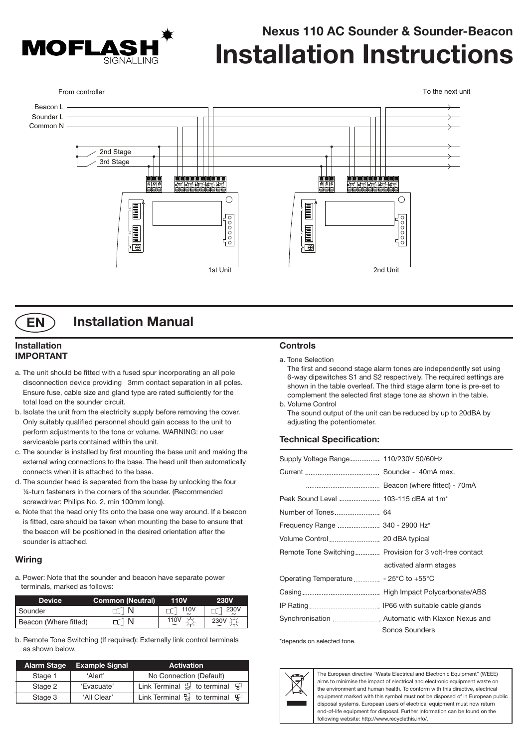

# **Nexus 110 AC Sounder & Sounder-Beacon Installation Instructions**





# **Installation Manual**

### **Installation IMPORTANT**

- a. The unit should be fitted with a fused spur incorporating an all pole disconnection device providing 3mm contact separation in all poles. Ensure fuse, cable size and gland type are rated sufficiently for the total load on the sounder circuit.
- b. Isolate the unit from the electricity supply before removing the cover. Only suitably qualified personnel should gain access to the unit to perform adjustments to the tone or volume. WARNING: no user serviceable parts contained within the unit.
- c. The sounder is installed by first mounting the base unit and making the external wring connections to the base. The head unit then automatically connects when it is attached to the base.
- d. The sounder head is separated from the base by unlocking the four ¼-turn fasteners in the corners of the sounder. (Recommended screwdriver: Philips No. 2, min 100mm long).
- e. Note that the head only fits onto the base one way around. If a beacon is fitted, care should be taken when mounting the base to ensure that the beacon will be positioned in the desired orientation after the sounder is attached.

### **Wiring**

a. Power: Note that the sounder and beacon have separate power terminals, marked as follows:

| <b>Device</b>         | <b>Common (Neutral)</b> | 110V | <b>230V</b> |
|-----------------------|-------------------------|------|-------------|
| I Sounder             |                         | 110V | 230V        |
| Beacon (Where fitted) |                         | 110V |             |

b. Remote Tone Switching (If required): Externally link control terminals as shown below.

| Alarm Stage | <b>Example Signal</b> | <b>Activation</b>                                                    |
|-------------|-----------------------|----------------------------------------------------------------------|
| Stage 1     | 'Alert'               | No Connection (Default)                                              |
| Stage 2     | 'Evacuate'            | Link Terminal $\mathbb{S}$ to terminal $\mathbb{S}$                  |
| Stage 3     | 'All Clear'           | Link Terminal $\frac{\sqrt{3}}{53}$ to terminal $\frac{\sqrt{3}}{5}$ |

## **Controls**

a. Tone Selection

The first and second stage alarm tones are independently set using 6-way dipswitches S1 and S2 respectively. The required settings are shown in the table overleaf. The third stage alarm tone is pre-set to complement the selected first stage tone as shown in the table. b. Volume Control

The sound output of the unit can be reduced by up to 20dBA by adjusting the potentiometer.

### **Technical Specification:**

| Supply Voltage Range 110/230V 50/60Hz            |                                                         |
|--------------------------------------------------|---------------------------------------------------------|
|                                                  |                                                         |
|                                                  |                                                         |
| Peak Sound Level  103-115 dBA at 1m <sup>*</sup> |                                                         |
|                                                  |                                                         |
| Frequency Range  340 - 2900 Hz*                  |                                                         |
|                                                  |                                                         |
|                                                  | Remote Tone Switching Provision for 3 volt-free contact |
|                                                  | activated alarm stages                                  |
| Operating Temperature  - 25°C to +55°C           |                                                         |
|                                                  |                                                         |
|                                                  |                                                         |
|                                                  | Synchronisation  Automatic with Klaxon Nexus and        |
|                                                  | Sonos Sounders                                          |

\*depends on selected tone.



The European directive "Waste Electrical and Electronic Equipment" (WEEE) aims to minimise the impact of electrical and electronic equipment waste on the environment and human health. To conform with this directive, electrical equipment marked with this symbol must not be disposed of in European public disposal systems. European users of electrical equipment must now return end-of-life equipment for disposal. Further information can be found on the following website: http://www.recyclethis.info/.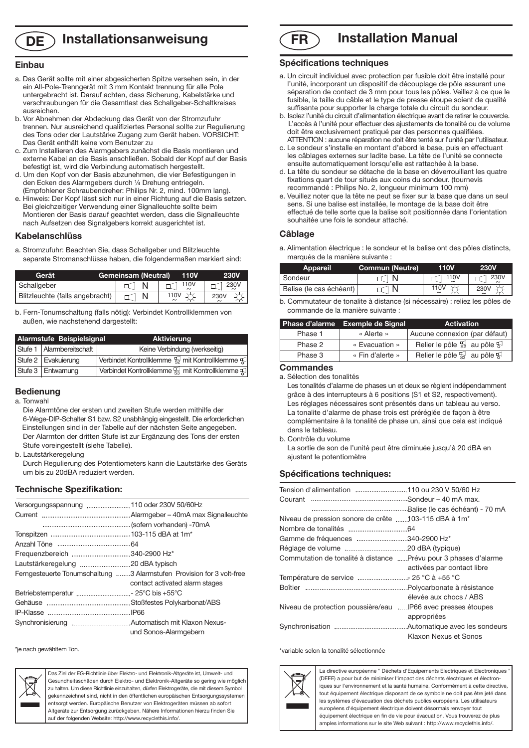# **DE Installationsanweisung**

#### **Einbau**

- a. Das Gerät sollte mit einer abgesicherten Spitze versehen sein, in der ein All-Pole-Trenngerät mit 3 mm Kontakt trennung für alle Pole untergebracht ist. Darauf achten, dass Sicherung, Kabelstärke und verschraubungen für die Gesamtlast des Schallgeber-Schaltkreises ausreichen.
- b. Vor Abnehmen der Abdeckung das Gerät von der Stromzufuhr trennen. Nur ausreichend qualifiziertes Personal sollte zur Regulierung des Tons oder der Lautstärke Zugang zum Gerät haben. VORSICHT: Das Gerät enthält keine vom Benutzer zu
- c. Zum Installieren des Alarmgebers zunächst die Basis montieren und externe Kabel an die Basis anschließen. Sobald der Kopf auf der Basis befestigt ist, wird die Verbindung automatisch hergestellt.
- d. Um den Kopf von der Basis abzunehmen, die vier Befestigungen in den Ecken des Alarmgebers durch ¼ Drehung entriegeln. (Empfohlener Schraubendreher: Philips Nr. 2, mind. 100mm lang).
- e. Hinweis: Der Kopf lässt sich nur in einer Richtung auf die Basis setzen. Bei gleichzeitiger Verwendung einer Signalleuchte sollte beim Montieren der Basis darauf geachtet werden, dass die Signalleuchte nach Aufsetzen des Signalgebers korrekt ausgerichtet ist.

#### **Kabelanschlüss**

a. Stromzufuhr: Beachten Sie, dass Schallgeber und Blitzleuchte separate Stromanschlüsse haben, die folgendermaßen markiert sind:

| Gerät                           | <b>Gemeinsam (Neutral)</b> | <b>110V</b> | <b>230V</b> |
|---------------------------------|----------------------------|-------------|-------------|
| Schallgeber                     |                            | 110V        | 230V        |
| Blitzleuchte (falls angebracht) |                            | 110V        | 230V        |

b. Fern-Tonumschaltung (falls nötig): Verbindet Kontrollklemmen von außen, wie nachstehend dargestellt:

| Alarmstufe Beispielsignal   | <b>Aktivierung</b>                                                            |
|-----------------------------|-------------------------------------------------------------------------------|
| Stufe 1   Alarmbereitschaft | Keine Verbindung (werkseitig)                                                 |
| Stufe 2   Evakuierung       | Verbindet Kontrollklemme $\frac{\pi}{32}$ mit Kontrollklemme $\frac{\pi}{32}$ |
| Stufe 3   Entwarnung        | Verbindet Kontrollklemme S3 mit Kontrollklemme S                              |

#### **Bedienung**

a. Tonwahl

Die Alarmtöne der ersten und zweiten Stufe werden mithilfe der 6-Wege-DIP-Schalter S1 bzw. S2 unabhängig eingestellt. Die erforderlichen Einstellungen sind in der Tabelle auf der nächsten Seite angegeben. Der Alarmton der dritten Stufe ist zur Ergänzung des Tons der ersten Stufe voreingestellt (siehe Tabelle).

b. Lautstärkeregelung

Durch Regulierung des Potentiometers kann die Lautstärke des Geräts um bis zu 20dBA reduziert werden.

#### **Technische Spezifikation:**

| Frequenzbereich 340-2900 Hz*         |                                                                       |
|--------------------------------------|-----------------------------------------------------------------------|
|                                      |                                                                       |
|                                      | Ferngesteuerte Tonumschaltung 3 Alarmstufen Provision for 3 volt-free |
|                                      | contact activated alarm stages                                        |
| Betriebstemperatur  - 25°C bis +55°C |                                                                       |
|                                      |                                                                       |
|                                      |                                                                       |
|                                      |                                                                       |
|                                      | und Sonos-Alarmaebern                                                 |

\*je nach gewähltem Ton.



Das Ziel der EG-Richtlinie über Elektro- und Elektronik-Altgeräte ist, Umwelt- und Gesundheitsschäden durch Elektro- und Elektronik-Altgeräte so gering wie möglich zu halten. Um diese Richtlinie einzuhalten, dürfen Elektrogeräte, die mit diesem Symbol gekennzeichnet sind, nicht in den öffentlichen europäischen Entsorgungssystemen entsorgt werden. Europäische Benutzer von Elektrogeräten müssen ab sofort Altgeräte zur Entsorgung zurückgeben. Nähere Informationen hierzu finden Sie auf der folgenden Website: http://www.recyclethis.info/.

**Installation Manual FR**

#### **Spécifications techniques**

- a. Un circuit individuel avec protection par fusible doit être installé pour l'unité, incorporant un dispositif de découplage de pôle assurant une séparation de contact de 3 mm pour tous les pôles. Veillez à ce que le fusible, la taille du câble et le type de presse étoupe soient de qualité suffisante pour supporter la charge totale du circuit du sondeur.
- b. Isolez l'unité du circuit d'alimentation électrique avant de retirer le couvercle. L'accès à l'unité pour effectuer des ajustements de tonalité ou de volume doit être exclusivement pratiqué par des personnes qualifiées. ATTENTION : aucune réparation ne doit être tenté sur l'unité par l'utilisateur.
- c. Le sondeur s'installe en montant d'abord la base, puis en effectuant les câblages externes sur ladite base. La tête de l'unité se connecte ensuite automatiquement lorsqu'elle est rattachée à la base.
- d. La tête du sondeur se détache de la base en déverrouillant les quatre fixations quart de tour situés aux coins du sondeur. (tournevis recommandé : Philips No. 2, longueur minimum 100 mm)
- e. Veuillez noter que la tête ne peut se fixer sur la base que dans un seul sens. Si une balise est installée, le montage de la base doit être effectué de telle sorte que la balise soit positionnée dans l'orientation souhaitée une fois le sondeur attaché.

#### **Câblage**

a. Alimentation électrique : le sondeur et la balise ont des pôles distincts, marqués de la manière suivante :

| <b>Appareil</b>         | <b>Commun (Neutre)</b> | 110V | <b>230V</b> |
|-------------------------|------------------------|------|-------------|
| Sondeur                 |                        | 110V | 230V        |
| Balise (le cas échéant) |                        |      |             |

b. Commutateur de tonalite à distance (si nécessaire) : reliez les pôles de commande de la manière suivante :

|         | Phase d'alarme Exemple de Signal | <b>Activation</b>                                   |
|---------|----------------------------------|-----------------------------------------------------|
| Phase 1 | « Alerte »                       | Aucune connexion (par défaut)                       |
| Phase 2 | « Evacuation »                   | Relier le pôle $\mathbb{S}$ au pôle $\mathbb{S}$    |
| Phase 3 | « Fin d'alerte »                 | Relier le pôle $\frac{1}{83}$ au pôle $\frac{1}{8}$ |

#### **Commandes**

a. Sélection des tonalités

Les tonalités d'alarme de phases un et deux se règlent indépendamment grâce à des interrupteurs à 6 positions (S1 et S2, respectivement). Les réglages nécessaires sont présentés dans un tableau au verso. La tonalite d'alarme de phase trois est préréglée de façon à être complémentaire à la tonalité de phase un, ainsi que cela est indiqué dans le tableau.

b. Contrôle du volume

La sortie de son de l'unité peut être diminuée jusqu'à 20 dBA en ajustant le potentiomètre

#### **Spécifications techniques:**

| Niveau de pression sonore de crête 103-115 dBA à 1m <sup>*</sup> |                            |
|------------------------------------------------------------------|----------------------------|
|                                                                  |                            |
| Gamme de fréquences 340-2900 Hz*                                 |                            |
|                                                                  |                            |
| Commutation de tonalité à distance Prévu pour 3 phases d'alarme  |                            |
|                                                                  | activées par contact libre |
| Température de service  25 °C à +55 °C                           |                            |
|                                                                  |                            |
|                                                                  | élevée aux chocs / ABS     |
| Niveau de protection poussière/eau IP66 avec presses étoupes     |                            |
|                                                                  | appropriées                |
|                                                                  |                            |
|                                                                  | Klaxon Nexus et Sonos      |

\*variable selon la tonalité sélectionnée



La directive européenne " Déchets d'Equipements Electriques et Electroniques (DEEE) a pour but de minimiser l'impact des déchets électriques et électroniques sur l'environnement et la santé humaine. Conformément à cette directive, tout équipement électrique disposant de ce symbole ne doit pas être jeté dans les systèmes d'évacuation des déchets publics européens. Les utilisateurs européens d'équipement électrique doivent désormais renvoyer tout équipement électrique en fin de vie pour évacuation. Vous trouverez de plus

amples informations sur le site Web suivant : http://www.recyclethis.info/.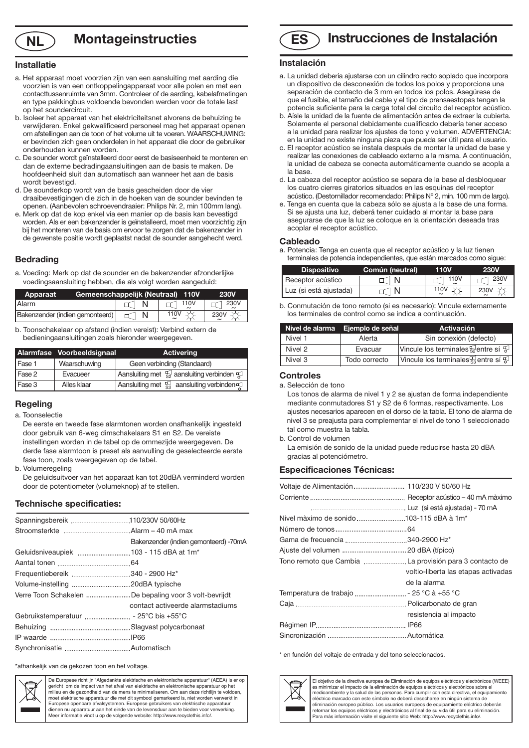

# **NL Montageinstructies ES**

### **Installatie**

- a. Het apparaat moet voorzien zijn van een aansluiting met aarding die voorzien is van een ontkoppelingapparaat voor alle polen en met een contacttussenruimte van 3mm. Controleer of de aarding, kabelafmetingen en type pakkingbus voldoende bevonden werden voor de totale last op het soundercircuit.
- b. Isoleer het apparaat van het elektriciteitsnet alvorens de behuizing te verwijderen. Enkel gekwalificeerd personeel mag het apparaat openen om afstellingen aan de toon of het volume uit te voeren. WAARSCHUWING: er bevinden zich geen onderdelen in het apparaat die door de gebruiker onderhouden kunnen worden.
- c. De sounder wordt geïnstalleerd door eerst de basiseenheid te monteren en dan de externe bedradingaansluitingen aan de basis te maken. De hoofdeenheid sluit dan automatisch aan wanneer het aan de basis wordt bevestigd.
- d. De sounderkop wordt van de basis gescheiden door de vier draaibevestigingen die zich in de hoeken van de sounder bevinden te openen. (Aanbevolen schroevendraaier: Philips Nr. 2, min 100mm lang).
- e. Merk op dat de kop enkel via een manier op de basis kan bevestigd worden. Als er een bakenzender is geïnstalleerd, moet men voorzichtig zijn bij het monteren van de basis om ervoor te zorgen dat de bakenzender in de gewenste positie wordt geplaatst nadat de sounder aangehecht werd.

#### **Bedrading**

a. Voeding: Merk op dat de sounder en de bakenzender afzonderlijke voedingsaansluiting hebben, die als volgt worden aangeduid:

| Apparaat                        | Gemeenschappelijk (Neutraal) 110V | <b>230V</b> |
|---------------------------------|-----------------------------------|-------------|
| <b>IAlarm</b>                   | $\sqcap$ 110V                     | $\sim$ 230V |
| Bakenzender (indien gemonteerd) | 110V                              | 230V        |

b. Toonschakelaar op afstand (indien vereist): Verbind extern de bedieningaansluitingen zoals hieronder weergegeven.

|        | Alarmfase Voorbeeldsignaal | <b>Activering</b>                                                   |
|--------|----------------------------|---------------------------------------------------------------------|
| Fase 1 | Waarschuwing               | Geen verbinding (Standaard)                                         |
| Fase 2 | Evacueer                   | Aansluiting met $\frac{1}{32}$ aansluiting verbinden $\frac{1}{52}$ |
| Fase 3 | Alles klaar                | Aansluiting met $\mathbb{E}$ aansluiting verbinden $\mathbb{E}$     |

#### **Regeling**

#### a. Toonselectie

- De eerste en tweede fase alarmtonen worden onafhankelijk ingesteld door gebruik van 6-weg dimschakelaars S1 en S2. De vereiste instellingen worden in de tabel op de ommezijde weergegeven. De derde fase alarmtoon is preset als aanvulling de geselecteerde eerste fase toon, zoals weergegeven op de tabel.
- b. Volumeregeling

De geluidsuitvoer van het apparaat kan tot 20dBA verminderd worden door de potentiometer (volumeknop) af te stellen.

#### **Technische specificaties:**

|                                                       | Bakenzender (indien gemonteerd) -70mA |
|-------------------------------------------------------|---------------------------------------|
| Geluidsniveaupiek 103 - 115 dBA at 1m*                |                                       |
|                                                       |                                       |
|                                                       |                                       |
|                                                       |                                       |
| Verre Toon Schakelen De bepaling voor 3 volt-bevrijdt |                                       |
|                                                       | contact activeerde alarmstadiums      |
|                                                       |                                       |
|                                                       |                                       |
|                                                       |                                       |
|                                                       |                                       |

\*afhankelijk van de gekozen toon en het voltage.



De Europese richtlijn "Afgedankte elektrische en elektronische apparatuur" (AEEA) is er op gericht om de impact van het afval van elektrische en elektronische apparatuur op het milieu en de gezondheid van de mens te minimaliseren. Om aan deze richtlijn te voldoen,<br>moet elektrische apparatuur die met dit symbool gemarkeerd is, niet worden verwerkt in<br>Europese openbare afvalsystemen. Europese gebru dienen nu apparatuur aan het einde van de levensduur aan te bieden voor verwerking. Meer informatie vindt u op de volgende website: http://www.recyclethis.info/.

# **Instrucciones de Instalación**

#### **Instalación**

- a. La unidad debería ajustarse con un cilindro recto soplado que incorpora un dispositivo de desconexión de todos los polos y proporciona una separación de contacto de 3 mm en todos los polos. Asegúrese de que el fusible, el tamaño del cable y el tipo de prensaestopas tengan la potencia suficiente para la carga total del circuito del receptor acústico.
- b. Aísle la unidad de la fuente de alimentación antes de extraer la cubierta. Solamente el personal debidamente cualificado debería tener acceso a la unidad para realizar los ajustes de tono y volumen. ADVERTENCIA: en la unidad no existe ninguna pieza que pueda ser útil para el usuario.
- c. El receptor acústico se instala después de montar la unidad de base y realizar las conexiones de cableado externo a la misma. A continuación, la unidad de cabeza se conecta automáticamente cuando se acopla a la base.
- d. La cabeza del receptor acústico se separa de la base al desbloquear los cuatro cierres giratorios situados en las esquinas del receptor acústico. (Destornillador recomendado: Philips Nº 2, mín. 100 mm de largo).
- e. Tenga en cuenta que la cabeza sólo se ajusta a la base de una forma. Si se ajusta una luz, deberá tener cuidado al montar la base para asegurarse de que la luz se coloque en la orientación deseada tras acoplar el receptor acústico.

#### **Cableado**

a. Potencia: Tenga en cuenta que el receptor acústico y la luz tienen terminales de potencia independientes, que están marcados como sigue:

| <b>Dispositivo</b>     | Común (neutral) | 110V | <b>230V</b> |
|------------------------|-----------------|------|-------------|
| Receptor acústico      |                 | 110V | 230V        |
| Luz (si está ajustada) |                 | 110\ | 230V        |

b. Conmutación de tono remoto (si es necesario): Vincule externamente los terminales de control como se indica a continuación.

|         | Nivel de alarma Ejemplo de señal | <b>Activación</b>                                            |
|---------|----------------------------------|--------------------------------------------------------------|
| Nivel 1 | Alerta                           | Sin conexión (defecto)                                       |
| Nivel 2 | Evacuar                          | Vincule los terminales $\frac{1}{32}$ entre sí $\frac{1}{3}$ |
| Nivel 3 | Todo correcto                    | Vincule los terminales $\frac{1}{23}$ entre sí $\frac{1}{3}$ |

#### **Controles**

a. Selección de tono

Los tonos de alarma de nivel 1 y 2 se ajustan de forma independiente mediante conmutadores S1 y S2 de 6 formas, respectivamente. Los ajustes necesarios aparecen en el dorso de la tabla. El tono de alarma de nivel 3 se preajusta para complementar el nivel de tono 1 seleccionado tal como muestra la tabla.

b. Control de volumen

La emisión de sonido de la unidad puede reducirse hasta 20 dBA gracias al potenciómetro.

#### **Especificaciones Técnicas:**

| Nivel màximo de sonido103-115 dBA à 1m*  |                                     |
|------------------------------------------|-------------------------------------|
|                                          |                                     |
|                                          |                                     |
|                                          |                                     |
|                                          |                                     |
|                                          | voltio-liberta las etapas activadas |
|                                          | de la alarma                        |
| Temperatura de trabajo  - 25 °C à +55 °C |                                     |
|                                          |                                     |
|                                          | resistencia al impacto              |
|                                          |                                     |
|                                          |                                     |

\* en función del voltaje de entrada y del tono seleccionados.



El objetivo de la directiva europea de Eliminación de equipos eléctricos y electrónicos (WEEE) es minimizar el impacto de la eliminación de equipos eléctricos y electrónicos sobre el medioambiente y la salud de las personas. Para cumplir con esta directiva, el equipamiento eléctrico marcado con este símbolo no deberá desecharse en ningún sistema de eliminación europeo público. Los usuarios europeos de equipamiento eléctrico deberán retornar los equipos eléctricos y electrónicos al final de su vida útil para su eliminación. Para más información visite el siguiente sitio Web: http://www.recyclethis.info/.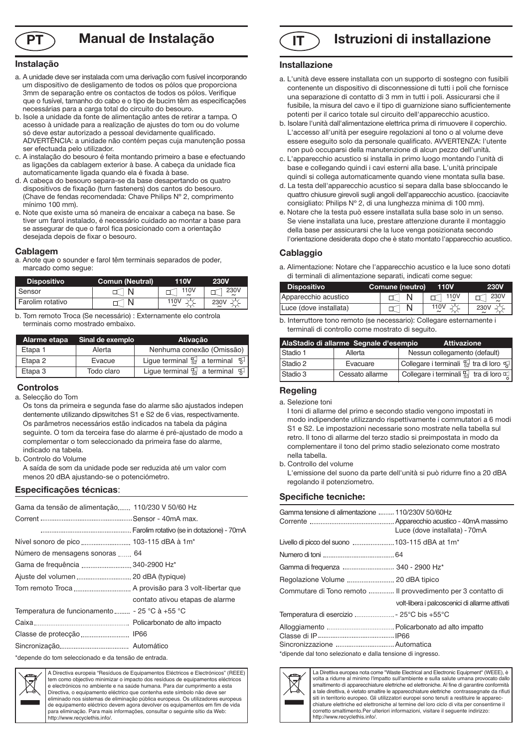

# **Manual de Instalação**

#### **Instalação**

- a. A unidade deve ser instalada com uma derivação com fusível incorporando um dispositivo de desligamento de todos os pólos que proporciona 3mm de separação entre os contactos de todos os pólos. Verifique que o fusível, tamanho do cabo e o tipo de bucim têm as especificações necessárias para a carga total do circuito do besouro.
- b. Isole a unidade da fonte de alimentação antes de retirar a tampa. O acesso à unidade para a realização de ajustes do tom ou do volume só deve estar autorizado a pessoal devidamente qualificado. ADVERTÊNCIA: a unidade não contém peças cuja manutenção possa ser efectuada pelo utilizador.
- c. A instalação do besouro é feita montando primeiro a base e efectuando as ligações da cablagem exterior à base. A cabeça da unidade fica automaticamente ligada quando ela é fixada à base.
- d. A cabeça do besouro separa-se da base desapertando os quatro dispositivos de fixação (turn fasteners) dos cantos do besouro. (Chave de fendas recomendada: Chave Philips Nº 2, comprimento mínimo 100 mm).
- e. Note que existe uma só maneira de encaixar a cabeça na base. Se tiver um farol instalado, é necessário cuidado ao montar a base para se assegurar de que o farol fica posicionado com a orientação desejada depois de fixar o besouro.

#### **Cablagem**

a. Anote que o sounder e farol têm terminais separados de poder, marcado como segue:

| <b>Dispositivo</b> | <b>Comun (Neutral)</b> | 110V             | <b>230V</b> |
|--------------------|------------------------|------------------|-------------|
| Sensor             |                        | 110 <sub>V</sub> | 230V        |
| Farolim rotativo   |                        | 110V             | 230V        |

b. Tom remoto Troca (Se necessário) : Externamente elo controla terminais como mostrado embaixo.

| Alarme etapa | Sinal de exemplo | <b>Ativacão</b>                                                      |  |
|--------------|------------------|----------------------------------------------------------------------|--|
| Etapa 1      | Alerta           | Nenhuma conexão (Omissão)                                            |  |
| Etapa 2      | Evacue           | Lique terminal $\mathbb{S}$ a terminal $\mathbb{S}$                  |  |
| Etapa 3      | Todo claro       | Ligue terminal $\frac{\sqrt{3}}{53}$ a terminal $\frac{\sqrt{3}}{5}$ |  |

### **Controlos**

a. Selecção do Tom

Os tons da primeira e segunda fase do alarme são ajustados indepen dentemente utilizando dipswitches S1 e S2 de 6 vias, respectivamente. Os parâmetros necessários estão indicados na tabela da página seguinte. O tom da terceira fase do alarme é pré-ajustado de modo a complementar o tom seleccionado da primeira fase do alarme, indicado na tabela.

b. Controlo do Volume

A saída de som da unidade pode ser reduzida até um valor com menos 20 dBA ajustando-se o potenciómetro.

#### **Especificações técnicas**:

| Gama da tensão de alimentação 110/230 V 50/60 Hz |                                 |
|--------------------------------------------------|---------------------------------|
|                                                  |                                 |
|                                                  |                                 |
|                                                  |                                 |
| Número de mensagens sonoras  64                  |                                 |
|                                                  |                                 |
| Ajuste del volumen  20 dBA (typique)             |                                 |
|                                                  |                                 |
|                                                  | contato ativou etapas de alarme |
| Temperatura de funcionamento  - 25 °C à +55 °C   |                                 |
|                                                  |                                 |
|                                                  |                                 |
|                                                  |                                 |
|                                                  |                                 |

\*depende do tom seleccionado e da tensão de entrada.



A Directiva europeia "Resíduos de Equipamentos Eléctricos e Electrónicos" (REEE) tem como objectivo minimizar o impacto dos resíduos de equipamentos eléctricos e electrónicos no ambiente e na saúde humana. Para dar cumprimento a esta Directiva, o equipamento eléctrico que contenha este símbolo não deve ser eliminado nos sistemas de eliminação pública europeus. Os utilizadores europeus de equipamento eléctrico devem agora devolver os equipamentos em fim de vida para eliminação. Para mais informações, consultar o seguinte sítio da Web: http://www.recyclethis.info/.

# **PT Manual de Instalação IT Istruzioni di** installazione

#### **Installazione**

- a. L'unità deve essere installata con un supporto di sostegno con fusibili contenente un dispositivo di disconnessione di tutti i poli che fornisce una separazione di contatto di 3 mm in tutti i poli. Assicurarsi che il fusibile, la misura del cavo e il tipo di guarnizione siano sufficientemente potenti per il carico totale sul circuito dell'apparecchio acustico.
- b. Isolare l'unità dall'alimentazione elettrica prima di rimuovere il coperchio. L'accesso all'unità per eseguire regolazioni al tono o al volume deve essere eseguito solo da personale qualificato. AVVERTENZA: l'utente non può occuparsi della manutenzione di alcun pezzo dell'unità.
- c. L'apparecchio acustico si installa in primo luogo montando l'unità di base e collegando quindi i cavi esterni alla base. L'unità principale quindi si collega automaticamente quando viene montata sulla base.
- d. La testa dell'apparecchio acustico si separa dalla base sbloccando le quattro chiusure girevoli sugli angoli dell'apparecchio acustico. (cacciavite consigliato: Philips Nº 2, di una lunghezza minima di 100 mm).
- e. Notare che la testa può essere installata sulla base solo in un senso. Se viene installata una luce, prestare attenzione durante il montaggio della base per assicurarsi che la luce venga posizionata secondo l'orientazione desiderata dopo che è stato montato l'apparecchio acustico.

#### **Cablaggio**

a. Alimentazione: Notare che l'apparecchio acustico e la luce sono dotati di terminali di alimentazione separati, indicati come segue:

| <b>Dispositivo</b>     | Comune (neutro) | <b>110V</b>     | 230V |
|------------------------|-----------------|-----------------|------|
| Apparecchio acustico   |                 | $\uparrow$ 110V | 230V |
| Luce (dove installata) |                 | 110V            | 230V |

|  |                                                  | b. Interruttore tono remoto (se necessario): Collegare esternamente i |
|--|--------------------------------------------------|-----------------------------------------------------------------------|
|  | terminali di controllo come mostrato di seguito. |                                                                       |

|          | AlaStadio di allarme Segnale d'esempio | <b>Attivazione</b>                                                               |
|----------|----------------------------------------|----------------------------------------------------------------------------------|
| Stadio 1 | Allerta                                | Nessun collegamento (default)                                                    |
| Stadio 2 | Evacuare                               | $\frac{1}{2}$ Collegare i terminali $\frac{\pi}{82}$ tra di loro $\frac{\pi}{8}$ |
| Stadio 3 | Cessato allarme                        | Collegare i terminali $\frac{17}{53}$ tra di loro $\frac{17}{53}$                |

### **Regeling**

a. Selezione toni

I toni di allarme del primo e secondo stadio vengono impostati in modo indipendente utilizzando rispettivamente i commutatori a 6 modi S1 e S2. Le impostazioni necessarie sono mostrate nella tabella sul retro. Il tono di allarme del terzo stadio si preimpostata in modo da complementare il tono del primo stadio selezionato come mostrato nella tabella.

b. Controllo del volume

L'emissione del suono da parte dell'unità si può ridurre fino a 20 dBA regolando il potenziometro.

#### **Specifiche tecniche:**

| Gamma tensione di alimentazione  110/230V 50/60Hz            | Luce (dove installata) - 70mA                  |
|--------------------------------------------------------------|------------------------------------------------|
| Livello di picco del suono  103-115 dBA at 1m <sup>*</sup>   |                                                |
|                                                              |                                                |
| Gamma di frequenza  340 - 2900 Hz*                           |                                                |
| Regolazione Volume  20 dBA tipico                            |                                                |
| Commutare di Tono remoto  Il provvedimento per 3 contatto di |                                                |
|                                                              | volt-libera i palcoscenici di allarme attivati |
| Temperatura di esercizio  - 25°C bis +55°C                   |                                                |
|                                                              |                                                |
|                                                              |                                                |
| *dipende dal tono selezionato e dalla tensione di ingresso.  |                                                |



La Direttiva europea nota come "Waste Electrical and Electronic Equipment" (WEEE), è volta a ridurre al minimo l'impatto sull'ambiente e sulla salute umana provocato dallo smaltimento di apparecchiature elettriche ed elettroniche. Al fine di garantire conformità a tale direttiva, è vietato smaltire le apparecchiature elettriche contrassegnate da rifiuti siti in territorio europeo. Gli utilizzatori europei sono tenuti a restituire le apparecchiature elettriche ed elettroniche al termine del loro ciclo di vita per consentirne il corretto smaltimento.Per ulteriori informazioni, visitare il seguente indirizzo: http://www.recyclethis.info/.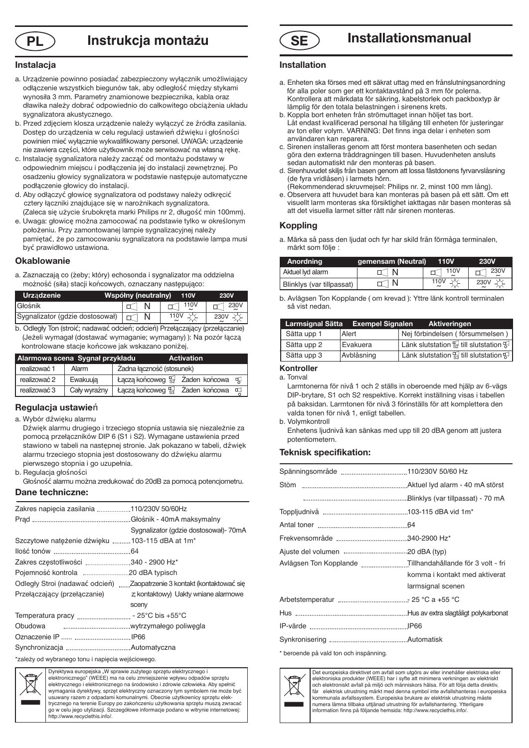

# **PL Instrukcja montażu SE**

### **Instalacja**

- a. Urządzenie powinno posiadać zabezpieczony wyłącznik umożliwiający odłączenie wszystkich biegunów tak, aby odległość między stykami wynosiła 3 mm. Parametry znamionowe bezpiecznika, kabla oraz dławika należy dobrać odpowiednio do całkowitego obciążenia układu sygnalizatora akustycznego.
- b. Przed zdjęciem klosza urządzenie należy wyłączyć ze źródła zasilania. Dostęp do urządzenia w celu regulacji ustawień dźwięku i głośności powinien mieć wyłącznie wykwalifikowany personel. UWAGA: urządzenie nie zawiera części, które użytkownik może serwisować na własną rękę.
- c. Instalację sygnalizatora należy zacząć od montażu podstawy w odpowiednim miejscu i podłączenia jej do instalacji zewnętrznej. Po osadzeniu głowicy sygnalizatora w podstawie następuje automatyczne podłączenie głowicy do instalacji.
- d. Aby odłączyć głowicę sygnalizatora od podstawy należy odkręcić cztery łączniki znajdujące się w narożnikach sygnalizatora. (Zaleca się użycie śrubokręta marki Philips nr 2, długość min 100mm).
- e. Uwaga: głowicę można zamocować na podstawie tylko w określonym położeniu. Przy zamontowanej lampie sygnalizacyjnej należy pamiętać, że po zamocowaniu sygnalizatora na podstawie lampa musi być prawidłowo ustawiona.

#### **Okablowanie**

a. Zaznaczają co (żeby; który) echosonda i sygnalizator ma oddzielna możność (siła) stacji końcowych, oznaczany następująco:

| <b>Urzadzenie</b>                                        | Współny (neutralny)<br><b>110V</b> |               |              |
|----------------------------------------------------------|------------------------------------|---------------|--------------|
| <b>I</b> Głośnik                                         |                                    | $\sqcap$ 110V | $\lnot$ 230V |
| Sygnalizator (gdzie dostosował) $ \Box \cap \mathsf{N} $ |                                    | 110V          | 230V         |

b. Odległy Ton (stroić; nadawać odcień; odcień) Przełączający (przełączanie) (Jeżeli wymagał (dostawać wymaganie; wymagany) ): Na pozór łączą kontrolowane stacje końcowe jak wskazano poniżej.

| Alarmowa scena Sygnał przykładu |              |                                 | <b>Activation</b>                                          |
|---------------------------------|--------------|---------------------------------|------------------------------------------------------------|
| realizować 1                    | Alarm        | Zadna łączność (stosunek)       |                                                            |
| realizować 2                    | Ewakuuja     |                                 | Łączą końcoweg $\mathbb{S}^1$ Żaden końcowa $\mathbb{S}^1$ |
| realizować 3                    | Cały wyraźny | Łączą końcoweg S3 Żaden końcowa | ๔                                                          |

### **Regulacja ustawie**ń

a. Wybór dźwięku alarmu

Dźwięk alarmu drugiego i trzeciego stopnia ustawia się niezależnie za pomocą przełączników DIP 6 (S1 i S2). Wymagane ustawienia przed stawiono w tabeli na następnej stronie. Jak pokazano w tabeli, dźwięk alarmu trzeciego stopnia jest dostosowany do dźwięku alarmu pierwszego stopnia i go uzupełnia.

b. Regulacia głośności

Głośność alarmu można zredukować do 20dB za pomocą potencjometru. **Dane techniczne:**

| Zakres napięcia zasilania 110/230V 50/60Hz                                                                      |                                                                        |
|-----------------------------------------------------------------------------------------------------------------|------------------------------------------------------------------------|
|                                                                                                                 |                                                                        |
|                                                                                                                 | Sygnalizator (gdzie dostosował) - 70mA                                 |
| Szczytowe natężenie dźwięku 103-115 dBA at 1m*                                                                  |                                                                        |
|                                                                                                                 |                                                                        |
| Zakres częstotliwości 340 - 2900 Hz*                                                                            |                                                                        |
|                                                                                                                 |                                                                        |
|                                                                                                                 | Odległy Stroi (nadawać odcień) Zaopatrzenie 3 kontakt (kontaktować się |
| Przełączający (przełączanie)                                                                                    | z kontaktowy) Uakty wniane alarmowe                                    |
|                                                                                                                 | sceny                                                                  |
|                                                                                                                 |                                                                        |
|                                                                                                                 |                                                                        |
|                                                                                                                 |                                                                        |
|                                                                                                                 |                                                                        |
| the contract of the contract of the contract of the contract of the contract of the contract of the contract of |                                                                        |

\*zależy od wybranego tonu i napięcia wejściowego.





# **Installationsmanual**

### **Installation**

- a. Enheten ska förses med ett säkrat uttag med en frånslutningsanordning för alla poler som ger ett kontaktavstånd på 3 mm för polerna. Kontrollera att märkdata för säkring, kabelstorlek och packboxtyp är lämplig för den totala belastningen i sirenens krets.
- b. Koppla bort enheten från strömuttaget innan höljet tas bort. Låt endast kvalificerad personal ha tillgång till enheten för justeringar av ton eller volym. VARNING: Det finns inga delar i enheten som användaren kan reparera.
- c. Sirenen installeras genom att först montera basenheten och sedan göra den externa tråddragningen till basen. Huvudenheten ansluts sedan automatiskt när den monteras på basen.
- d. Sirenhuvudet skiljs från basen genom att lossa fästdonens fyrvarvslåsning (de fyra vridlåsen) i larmets hörn.
- (Rekommenderad skruvmejsel: Philips nr. 2, minst 100 mm lång). e. Observera att huvudet bara kan monteras på basen på ett sätt. Om ett visuellt larm monteras ska försiktighet iakttagas när basen monteras så att det visuella larmet sitter rätt när sirenen monteras.

#### **Koppling**

a. Märka så pass den ljudat och fyr har skild från förmåga terminalen, märkt som följe :

| Anordning                 | gemensam (Neutral) | <b>THOV</b>     | <b>230V</b> |
|---------------------------|--------------------|-----------------|-------------|
| Aktuel lyd alarm          | - N                | $\uparrow$ 110V | $\sim$ 230V |
| Blinklys (var tillpassat) | 'N.                | 110V            | 230V        |

b. Avlägsen Ton Kopplande ( om krevad ): Yttre länk kontroll terminalen så vist nedan.

| Larmsignal Sätta | <b>Exempel Signalen</b> | Aktiveringen                                                    |
|------------------|-------------------------|-----------------------------------------------------------------|
| Sätta upp 1      | Alert                   | Nej förbindelsen (försummelsen)                                 |
| Sätta upp 2      | Evakuera                | Länk slutstation $\mathbb{S}^1$ till slutstation $\mathbb{S}^1$ |
| Sätta upp 3      | Avblåsning              | Länk slutstation $\sqrt{23}$ till slutstation $\sqrt{5}$        |

#### **Kontroller**

a. Tonval

Larmtonerna för nivå 1 och 2 ställs in oberoende med hjälp av 6-vägs DIP-brytare, S1 och S2 respektive. Korrekt inställning visas i tabellen på baksidan. Larmtonen för nivå 3 förinställs för att komplettera den valda tonen för nivå 1, enligt tabellen.

b. Volymkontroll

Enhetens ljudnivå kan sänkas med upp till 20 dBA genom att justera potentiometern.

#### **Teknisk specifikation:**

| Avlägsen Ton Kopplande Tillhandahållande för 3 volt - fri |                               |  |
|-----------------------------------------------------------|-------------------------------|--|
|                                                           | komma i kontakt med aktiverat |  |
|                                                           | larmsignal scenen             |  |
|                                                           |                               |  |
|                                                           |                               |  |
|                                                           |                               |  |
|                                                           |                               |  |

\* beroende på vald ton och inspänning.



Det europeiska direktivet om avfall som utgörs av eller innehåller elektriska eller elektroniska produkter (WEEE) har i syfte att minimera verkningen av elektriskt och elektroniskt avfall på miljö och människors hälsa. För att följa detta direktiv, får elektrisk utrustning märkt med denna symbol inte avfallshanteras i europeiska kommunala avfallssystem. Europeiska brukare av elektrisk utrustning måste numera lämna tillbaka uttjänad utrustning för avfallshantering. Ytterligare information finns på följande hemsida: http://www.recyclethis.info/.